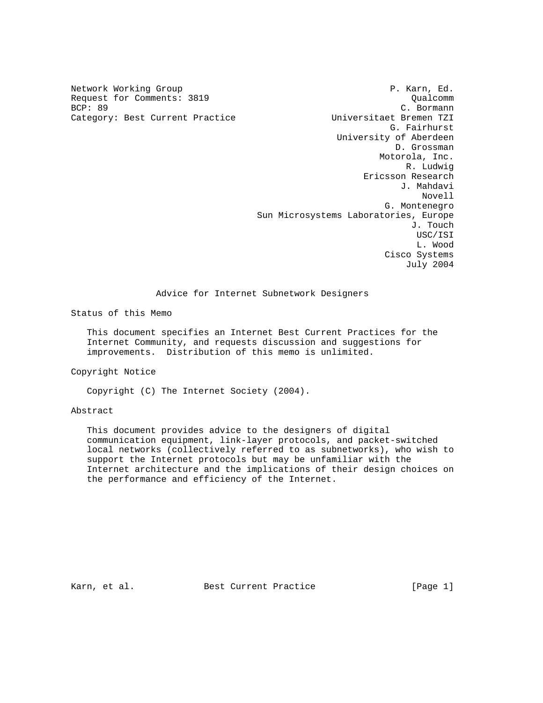Category: Best Current Practice

Network Working Group **P. Karn, Ed.** P. Karn, Ed. Request for Comments: 3819<br>BCP: 89<br>C. Bormann C. Bormann<br>Universitaet Bremen TZI G. Fairhurst University of Aberdeen D. Grossman Motorola, Inc. R. Ludwig Ericsson Research J. Mahdavi Novell G. Montenegro Sun Microsystems Laboratories, Europe J. Touch USC/ISI L. Wood Cisco Systems July 2004

### Advice for Internet Subnetwork Designers

Status of this Memo

 This document specifies an Internet Best Current Practices for the Internet Community, and requests discussion and suggestions for improvements. Distribution of this memo is unlimited.

Copyright Notice

Copyright (C) The Internet Society (2004).

#### Abstract

 This document provides advice to the designers of digital communication equipment, link-layer protocols, and packet-switched local networks (collectively referred to as subnetworks), who wish to support the Internet protocols but may be unfamiliar with the Internet architecture and the implications of their design choices on the performance and efficiency of the Internet.

Karn, et al. Best Current Practice [Page 1]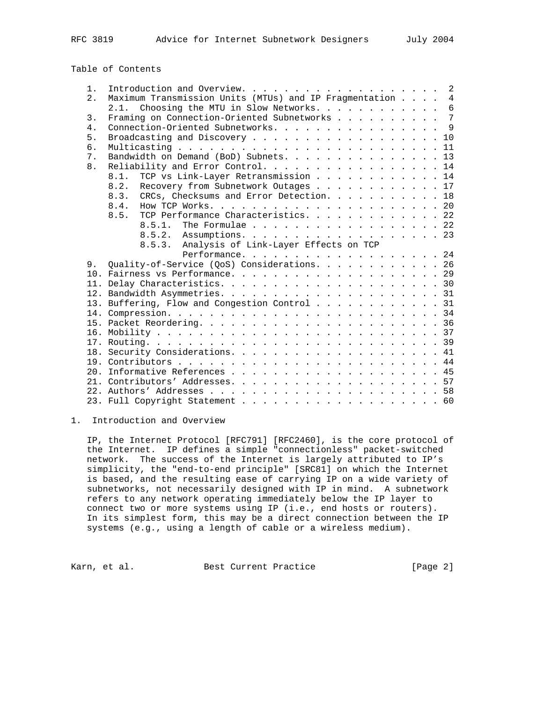Table of Contents

| $1$ . |                                                          |  |  |                |
|-------|----------------------------------------------------------|--|--|----------------|
| 2.    | Maximum Transmission Units (MTUs) and IP Fragmentation 4 |  |  |                |
|       | 2.1. Choosing the MTU in Slow Networks. 6                |  |  |                |
| 3.    | Framing on Connection-Oriented Subnetworks               |  |  | $\overline{7}$ |
| 4.    | Connection-Oriented Subnetworks. 9                       |  |  |                |
| 5.    | Broadcasting and Discovery 10                            |  |  |                |
| б.    |                                                          |  |  |                |
| 7.    | Bandwidth on Demand (BoD) Subnets. 13                    |  |  |                |
| 8.    | Reliability and Error Control. 14                        |  |  |                |
|       | TCP vs Link-Layer Retransmission 14<br>8.1.              |  |  |                |
|       | 8.2. Recovery from Subnetwork Outages 17                 |  |  |                |
|       | 8.3. CRCs, Checksums and Error Detection. 18             |  |  |                |
|       | 8.4.                                                     |  |  |                |
|       | TCP Performance Characteristics. 22<br>8.5.              |  |  |                |
|       | The Formulae $\ldots$ 22<br>8.5.1.                       |  |  |                |
|       | 8.5.2. Assumptions. 23                                   |  |  |                |
|       | 8.5.3.<br>Analysis of Link-Layer Effects on TCP          |  |  |                |
|       | Performance. 24                                          |  |  |                |
| 9.    | Quality-of-Service (QoS) Considerations. 26              |  |  |                |
|       |                                                          |  |  |                |
|       |                                                          |  |  |                |
|       |                                                          |  |  |                |
|       | 13. Buffering, Flow and Congestion Control 31            |  |  |                |
|       |                                                          |  |  |                |
|       |                                                          |  |  |                |
|       |                                                          |  |  |                |
|       |                                                          |  |  |                |
|       |                                                          |  |  |                |
|       |                                                          |  |  |                |
|       |                                                          |  |  |                |
|       |                                                          |  |  |                |
|       |                                                          |  |  |                |
|       |                                                          |  |  |                |
|       |                                                          |  |  |                |

1. Introduction and Overview

 IP, the Internet Protocol [RFC791] [RFC2460], is the core protocol of the Internet. IP defines a simple "connectionless" packet-switched network. The success of the Internet is largely attributed to IP's simplicity, the "end-to-end principle" [SRC81] on which the Internet is based, and the resulting ease of carrying IP on a wide variety of subnetworks, not necessarily designed with IP in mind. A subnetwork refers to any network operating immediately below the IP layer to connect two or more systems using IP (i.e., end hosts or routers). In its simplest form, this may be a direct connection between the IP systems (e.g., using a length of cable or a wireless medium).

Karn, et al. Best Current Practice [Page 2]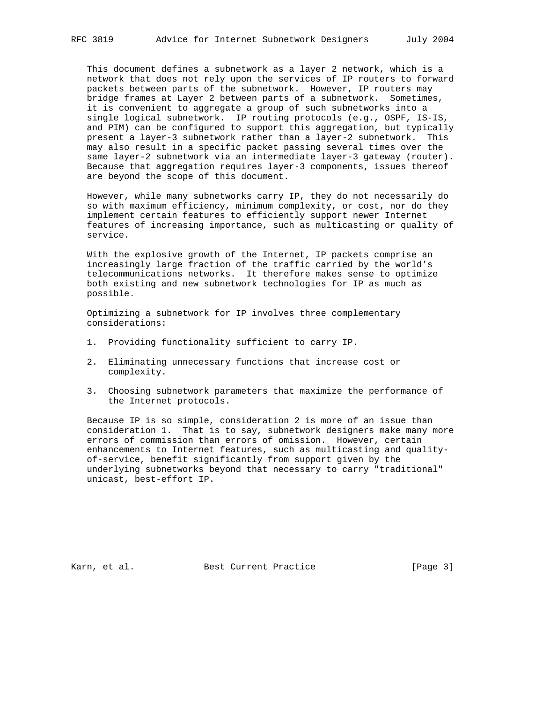This document defines a subnetwork as a layer 2 network, which is a network that does not rely upon the services of IP routers to forward packets between parts of the subnetwork. However, IP routers may bridge frames at Layer 2 between parts of a subnetwork. Sometimes, it is convenient to aggregate a group of such subnetworks into a single logical subnetwork. IP routing protocols (e.g., OSPF, IS-IS, and PIM) can be configured to support this aggregation, but typically present a layer-3 subnetwork rather than a layer-2 subnetwork. This may also result in a specific packet passing several times over the same layer-2 subnetwork via an intermediate layer-3 gateway (router). Because that aggregation requires layer-3 components, issues thereof are beyond the scope of this document.

 However, while many subnetworks carry IP, they do not necessarily do so with maximum efficiency, minimum complexity, or cost, nor do they implement certain features to efficiently support newer Internet features of increasing importance, such as multicasting or quality of service.

 With the explosive growth of the Internet, IP packets comprise an increasingly large fraction of the traffic carried by the world's telecommunications networks. It therefore makes sense to optimize both existing and new subnetwork technologies for IP as much as possible.

 Optimizing a subnetwork for IP involves three complementary considerations:

- 1. Providing functionality sufficient to carry IP.
- 2. Eliminating unnecessary functions that increase cost or complexity.
- 3. Choosing subnetwork parameters that maximize the performance of the Internet protocols.

 Because IP is so simple, consideration 2 is more of an issue than consideration 1. That is to say, subnetwork designers make many more errors of commission than errors of omission. However, certain enhancements to Internet features, such as multicasting and quality of-service, benefit significantly from support given by the underlying subnetworks beyond that necessary to carry "traditional" unicast, best-effort IP.

Karn, et al. Sest Current Practice [Page 3]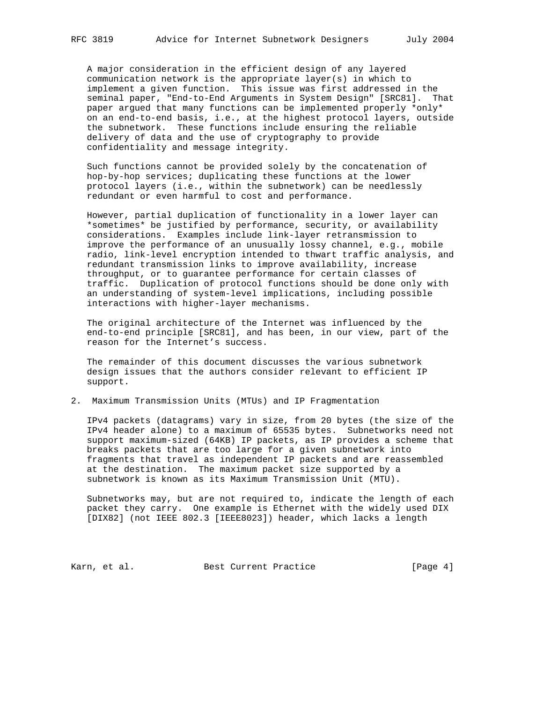A major consideration in the efficient design of any layered communication network is the appropriate layer(s) in which to implement a given function. This issue was first addressed in the seminal paper, "End-to-End Arguments in System Design" [SRC81]. That paper argued that many functions can be implemented properly \*only\* on an end-to-end basis, i.e., at the highest protocol layers, outside the subnetwork. These functions include ensuring the reliable delivery of data and the use of cryptography to provide confidentiality and message integrity.

 Such functions cannot be provided solely by the concatenation of hop-by-hop services; duplicating these functions at the lower protocol layers (i.e., within the subnetwork) can be needlessly redundant or even harmful to cost and performance.

 However, partial duplication of functionality in a lower layer can \*sometimes\* be justified by performance, security, or availability considerations. Examples include link-layer retransmission to improve the performance of an unusually lossy channel, e.g., mobile radio, link-level encryption intended to thwart traffic analysis, and redundant transmission links to improve availability, increase throughput, or to guarantee performance for certain classes of traffic. Duplication of protocol functions should be done only with an understanding of system-level implications, including possible interactions with higher-layer mechanisms.

 The original architecture of the Internet was influenced by the end-to-end principle [SRC81], and has been, in our view, part of the reason for the Internet's success.

 The remainder of this document discusses the various subnetwork design issues that the authors consider relevant to efficient IP support.

2. Maximum Transmission Units (MTUs) and IP Fragmentation

 IPv4 packets (datagrams) vary in size, from 20 bytes (the size of the IPv4 header alone) to a maximum of 65535 bytes. Subnetworks need not support maximum-sized (64KB) IP packets, as IP provides a scheme that breaks packets that are too large for a given subnetwork into fragments that travel as independent IP packets and are reassembled at the destination. The maximum packet size supported by a subnetwork is known as its Maximum Transmission Unit (MTU).

 Subnetworks may, but are not required to, indicate the length of each packet they carry. One example is Ethernet with the widely used DIX [DIX82] (not IEEE 802.3 [IEEE8023]) header, which lacks a length

Karn, et al. Best Current Practice [Page 4]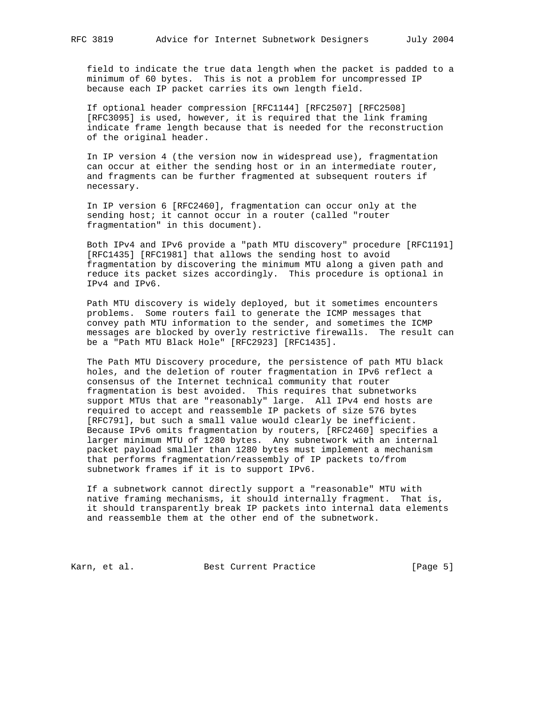field to indicate the true data length when the packet is padded to a minimum of 60 bytes. This is not a problem for uncompressed IP because each IP packet carries its own length field.

 If optional header compression [RFC1144] [RFC2507] [RFC2508] [RFC3095] is used, however, it is required that the link framing indicate frame length because that is needed for the reconstruction of the original header.

 In IP version 4 (the version now in widespread use), fragmentation can occur at either the sending host or in an intermediate router, and fragments can be further fragmented at subsequent routers if necessary.

 In IP version 6 [RFC2460], fragmentation can occur only at the sending host; it cannot occur in a router (called "router fragmentation" in this document).

 Both IPv4 and IPv6 provide a "path MTU discovery" procedure [RFC1191] [RFC1435] [RFC1981] that allows the sending host to avoid fragmentation by discovering the minimum MTU along a given path and reduce its packet sizes accordingly. This procedure is optional in IPv4 and IPv6.

 Path MTU discovery is widely deployed, but it sometimes encounters problems. Some routers fail to generate the ICMP messages that convey path MTU information to the sender, and sometimes the ICMP messages are blocked by overly restrictive firewalls. The result can be a "Path MTU Black Hole" [RFC2923] [RFC1435].

 The Path MTU Discovery procedure, the persistence of path MTU black holes, and the deletion of router fragmentation in IPv6 reflect a consensus of the Internet technical community that router fragmentation is best avoided. This requires that subnetworks support MTUs that are "reasonably" large. All IPv4 end hosts are required to accept and reassemble IP packets of size 576 bytes [RFC791], but such a small value would clearly be inefficient. Because IPv6 omits fragmentation by routers, [RFC2460] specifies a larger minimum MTU of 1280 bytes. Any subnetwork with an internal packet payload smaller than 1280 bytes must implement a mechanism that performs fragmentation/reassembly of IP packets to/from subnetwork frames if it is to support IPv6.

 If a subnetwork cannot directly support a "reasonable" MTU with native framing mechanisms, it should internally fragment. That is, it should transparently break IP packets into internal data elements and reassemble them at the other end of the subnetwork.

Karn, et al. Best Current Practice [Page 5]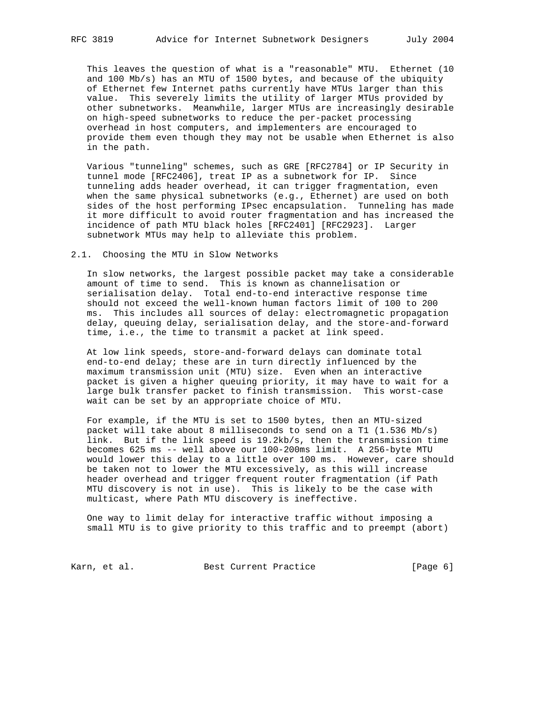This leaves the question of what is a "reasonable" MTU. Ethernet (10 and 100 Mb/s) has an MTU of 1500 bytes, and because of the ubiquity of Ethernet few Internet paths currently have MTUs larger than this value. This severely limits the utility of larger MTUs provided by other subnetworks. Meanwhile, larger MTUs are increasingly desirable on high-speed subnetworks to reduce the per-packet processing overhead in host computers, and implementers are encouraged to provide them even though they may not be usable when Ethernet is also in the path.

 Various "tunneling" schemes, such as GRE [RFC2784] or IP Security in tunnel mode [RFC2406], treat IP as a subnetwork for IP. Since tunneling adds header overhead, it can trigger fragmentation, even when the same physical subnetworks (e.g., Ethernet) are used on both sides of the host performing IPsec encapsulation. Tunneling has made it more difficult to avoid router fragmentation and has increased the incidence of path MTU black holes [RFC2401] [RFC2923]. Larger subnetwork MTUs may help to alleviate this problem.

### 2.1. Choosing the MTU in Slow Networks

 In slow networks, the largest possible packet may take a considerable amount of time to send. This is known as channelisation or serialisation delay. Total end-to-end interactive response time should not exceed the well-known human factors limit of 100 to 200 ms. This includes all sources of delay: electromagnetic propagation delay, queuing delay, serialisation delay, and the store-and-forward time, i.e., the time to transmit a packet at link speed.

 At low link speeds, store-and-forward delays can dominate total end-to-end delay; these are in turn directly influenced by the maximum transmission unit (MTU) size. Even when an interactive packet is given a higher queuing priority, it may have to wait for a large bulk transfer packet to finish transmission. This worst-case wait can be set by an appropriate choice of MTU.

 For example, if the MTU is set to 1500 bytes, then an MTU-sized packet will take about 8 milliseconds to send on a T1 (1.536 Mb/s) link. But if the link speed is 19.2kb/s, then the transmission time becomes 625 ms -- well above our 100-200ms limit. A 256-byte MTU would lower this delay to a little over 100 ms. However, care should be taken not to lower the MTU excessively, as this will increase header overhead and trigger frequent router fragmentation (if Path MTU discovery is not in use). This is likely to be the case with multicast, where Path MTU discovery is ineffective.

 One way to limit delay for interactive traffic without imposing a small MTU is to give priority to this traffic and to preempt (abort)

Karn, et al. Sest Current Practice [Page 6]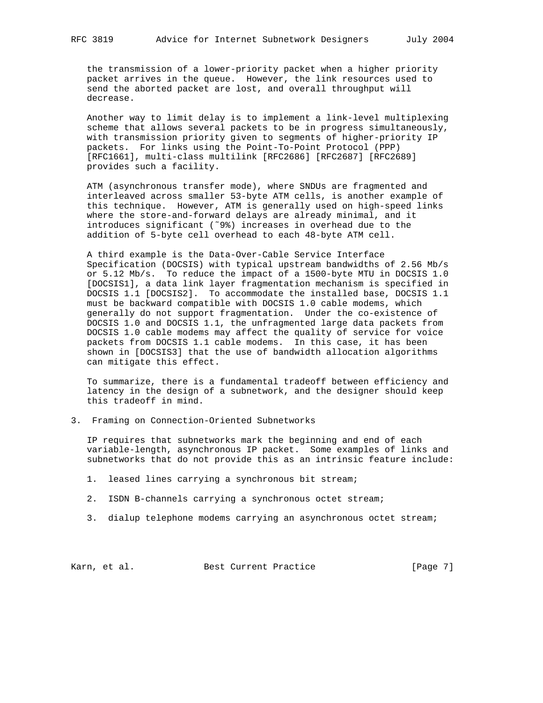the transmission of a lower-priority packet when a higher priority packet arrives in the queue. However, the link resources used to send the aborted packet are lost, and overall throughput will decrease.

 Another way to limit delay is to implement a link-level multiplexing scheme that allows several packets to be in progress simultaneously, with transmission priority given to segments of higher-priority IP packets. For links using the Point-To-Point Protocol (PPP) [RFC1661], multi-class multilink [RFC2686] [RFC2687] [RFC2689] provides such a facility.

 ATM (asynchronous transfer mode), where SNDUs are fragmented and interleaved across smaller 53-byte ATM cells, is another example of this technique. However, ATM is generally used on high-speed links where the store-and-forward delays are already minimal, and it introduces significant (˜9%) increases in overhead due to the addition of 5-byte cell overhead to each 48-byte ATM cell.

 A third example is the Data-Over-Cable Service Interface Specification (DOCSIS) with typical upstream bandwidths of 2.56 Mb/s or 5.12 Mb/s. To reduce the impact of a 1500-byte MTU in DOCSIS 1.0 [DOCSIS1], a data link layer fragmentation mechanism is specified in DOCSIS 1.1 [DOCSIS2]. To accommodate the installed base, DOCSIS 1.1 must be backward compatible with DOCSIS 1.0 cable modems, which generally do not support fragmentation. Under the co-existence of DOCSIS 1.0 and DOCSIS 1.1, the unfragmented large data packets from DOCSIS 1.0 cable modems may affect the quality of service for voice packets from DOCSIS 1.1 cable modems. In this case, it has been shown in [DOCSIS3] that the use of bandwidth allocation algorithms can mitigate this effect.

 To summarize, there is a fundamental tradeoff between efficiency and latency in the design of a subnetwork, and the designer should keep this tradeoff in mind.

3. Framing on Connection-Oriented Subnetworks

 IP requires that subnetworks mark the beginning and end of each variable-length, asynchronous IP packet. Some examples of links and subnetworks that do not provide this as an intrinsic feature include:

- 1. leased lines carrying a synchronous bit stream;
- 2. ISDN B-channels carrying a synchronous octet stream;
- 3. dialup telephone modems carrying an asynchronous octet stream;

Karn, et al. Best Current Practice [Page 7]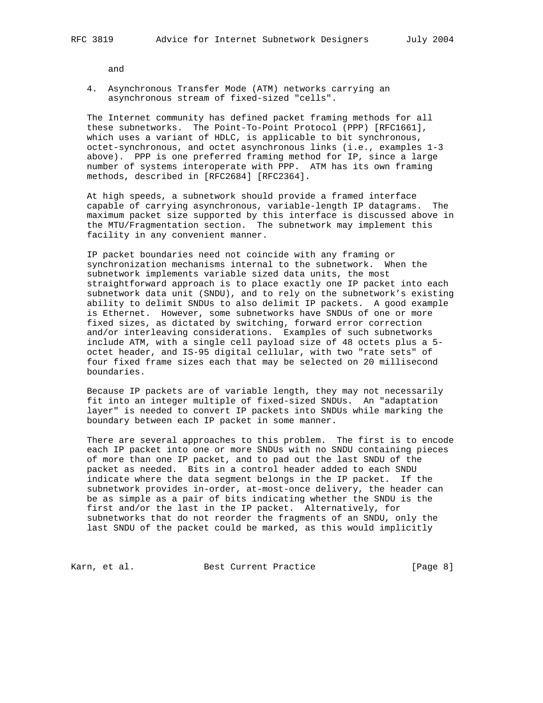and

 4. Asynchronous Transfer Mode (ATM) networks carrying an asynchronous stream of fixed-sized "cells".

 The Internet community has defined packet framing methods for all these subnetworks. The Point-To-Point Protocol (PPP) [RFC1661], which uses a variant of HDLC, is applicable to bit synchronous, octet-synchronous, and octet asynchronous links (i.e., examples 1-3 above). PPP is one preferred framing method for IP, since a large number of systems interoperate with PPP. ATM has its own framing methods, described in [RFC2684] [RFC2364].

 At high speeds, a subnetwork should provide a framed interface capable of carrying asynchronous, variable-length IP datagrams. The maximum packet size supported by this interface is discussed above in the MTU/Fragmentation section. The subnetwork may implement this facility in any convenient manner.

 IP packet boundaries need not coincide with any framing or synchronization mechanisms internal to the subnetwork. When the subnetwork implements variable sized data units, the most straightforward approach is to place exactly one IP packet into each subnetwork data unit (SNDU), and to rely on the subnetwork's existing ability to delimit SNDUs to also delimit IP packets. A good example is Ethernet. However, some subnetworks have SNDUs of one or more fixed sizes, as dictated by switching, forward error correction and/or interleaving considerations. Examples of such subnetworks include ATM, with a single cell payload size of 48 octets plus a 5 octet header, and IS-95 digital cellular, with two "rate sets" of four fixed frame sizes each that may be selected on 20 millisecond boundaries.

 Because IP packets are of variable length, they may not necessarily fit into an integer multiple of fixed-sized SNDUs. An "adaptation layer" is needed to convert IP packets into SNDUs while marking the boundary between each IP packet in some manner.

 There are several approaches to this problem. The first is to encode each IP packet into one or more SNDUs with no SNDU containing pieces of more than one IP packet, and to pad out the last SNDU of the packet as needed. Bits in a control header added to each SNDU indicate where the data segment belongs in the IP packet. If the subnetwork provides in-order, at-most-once delivery, the header can be as simple as a pair of bits indicating whether the SNDU is the first and/or the last in the IP packet. Alternatively, for subnetworks that do not reorder the fragments of an SNDU, only the last SNDU of the packet could be marked, as this would implicitly

Karn, et al. Sest Current Practice [Page 8]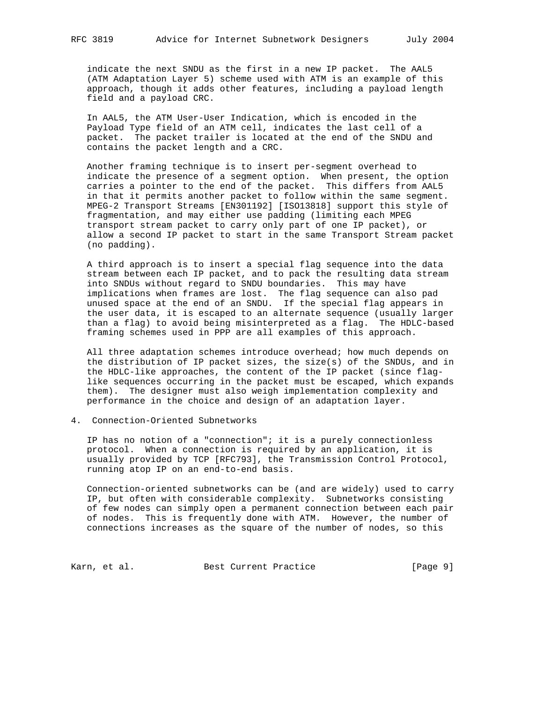indicate the next SNDU as the first in a new IP packet. The AAL5 (ATM Adaptation Layer 5) scheme used with ATM is an example of this approach, though it adds other features, including a payload length field and a payload CRC.

 In AAL5, the ATM User-User Indication, which is encoded in the Payload Type field of an ATM cell, indicates the last cell of a packet. The packet trailer is located at the end of the SNDU and contains the packet length and a CRC.

 Another framing technique is to insert per-segment overhead to indicate the presence of a segment option. When present, the option carries a pointer to the end of the packet. This differs from AAL5 in that it permits another packet to follow within the same segment. MPEG-2 Transport Streams [EN301192] [ISO13818] support this style of fragmentation, and may either use padding (limiting each MPEG transport stream packet to carry only part of one IP packet), or allow a second IP packet to start in the same Transport Stream packet (no padding).

 A third approach is to insert a special flag sequence into the data stream between each IP packet, and to pack the resulting data stream into SNDUs without regard to SNDU boundaries. This may have implications when frames are lost. The flag sequence can also pad unused space at the end of an SNDU. If the special flag appears in the user data, it is escaped to an alternate sequence (usually larger than a flag) to avoid being misinterpreted as a flag. The HDLC-based framing schemes used in PPP are all examples of this approach.

 All three adaptation schemes introduce overhead; how much depends on the distribution of IP packet sizes, the size(s) of the SNDUs, and in the HDLC-like approaches, the content of the IP packet (since flag like sequences occurring in the packet must be escaped, which expands them). The designer must also weigh implementation complexity and performance in the choice and design of an adaptation layer.

# 4. Connection-Oriented Subnetworks

 IP has no notion of a "connection"; it is a purely connectionless protocol. When a connection is required by an application, it is usually provided by TCP [RFC793], the Transmission Control Protocol, running atop IP on an end-to-end basis.

 Connection-oriented subnetworks can be (and are widely) used to carry IP, but often with considerable complexity. Subnetworks consisting of few nodes can simply open a permanent connection between each pair of nodes. This is frequently done with ATM. However, the number of connections increases as the square of the number of nodes, so this

Karn, et al. Sest Current Practice [Page 9]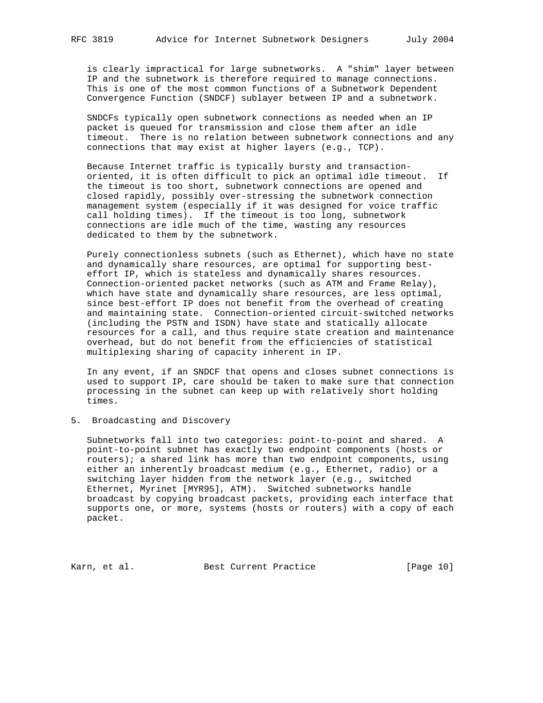is clearly impractical for large subnetworks. A "shim" layer between IP and the subnetwork is therefore required to manage connections. This is one of the most common functions of a Subnetwork Dependent Convergence Function (SNDCF) sublayer between IP and a subnetwork.

 SNDCFs typically open subnetwork connections as needed when an IP packet is queued for transmission and close them after an idle timeout. There is no relation between subnetwork connections and any connections that may exist at higher layers (e.g., TCP).

 Because Internet traffic is typically bursty and transaction oriented, it is often difficult to pick an optimal idle timeout. If the timeout is too short, subnetwork connections are opened and closed rapidly, possibly over-stressing the subnetwork connection management system (especially if it was designed for voice traffic call holding times). If the timeout is too long, subnetwork connections are idle much of the time, wasting any resources dedicated to them by the subnetwork.

 Purely connectionless subnets (such as Ethernet), which have no state and dynamically share resources, are optimal for supporting best effort IP, which is stateless and dynamically shares resources. Connection-oriented packet networks (such as ATM and Frame Relay), which have state and dynamically share resources, are less optimal, since best-effort IP does not benefit from the overhead of creating and maintaining state. Connection-oriented circuit-switched networks (including the PSTN and ISDN) have state and statically allocate resources for a call, and thus require state creation and maintenance overhead, but do not benefit from the efficiencies of statistical multiplexing sharing of capacity inherent in IP.

 In any event, if an SNDCF that opens and closes subnet connections is used to support IP, care should be taken to make sure that connection processing in the subnet can keep up with relatively short holding times.

# 5. Broadcasting and Discovery

 Subnetworks fall into two categories: point-to-point and shared. A point-to-point subnet has exactly two endpoint components (hosts or routers); a shared link has more than two endpoint components, using either an inherently broadcast medium (e.g., Ethernet, radio) or a switching layer hidden from the network layer (e.g., switched Ethernet, Myrinet [MYR95], ATM). Switched subnetworks handle broadcast by copying broadcast packets, providing each interface that supports one, or more, systems (hosts or routers) with a copy of each packet.

Karn, et al. Best Current Practice [Page 10]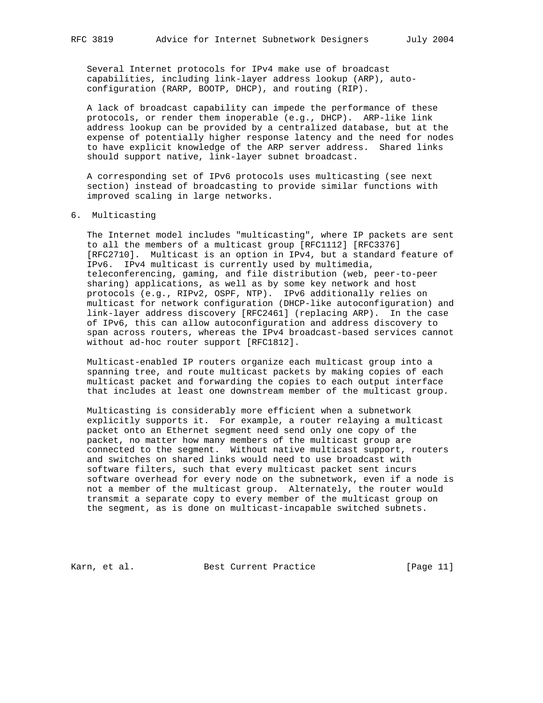Several Internet protocols for IPv4 make use of broadcast capabilities, including link-layer address lookup (ARP), auto configuration (RARP, BOOTP, DHCP), and routing (RIP).

 A lack of broadcast capability can impede the performance of these protocols, or render them inoperable (e.g., DHCP). ARP-like link address lookup can be provided by a centralized database, but at the expense of potentially higher response latency and the need for nodes to have explicit knowledge of the ARP server address. Shared links should support native, link-layer subnet broadcast.

 A corresponding set of IPv6 protocols uses multicasting (see next section) instead of broadcasting to provide similar functions with improved scaling in large networks.

#### 6. Multicasting

 The Internet model includes "multicasting", where IP packets are sent to all the members of a multicast group [RFC1112] [RFC3376] [RFC2710]. Multicast is an option in IPv4, but a standard feature of IPv6. IPv4 multicast is currently used by multimedia, teleconferencing, gaming, and file distribution (web, peer-to-peer sharing) applications, as well as by some key network and host protocols (e.g., RIPv2, OSPF, NTP). IPv6 additionally relies on multicast for network configuration (DHCP-like autoconfiguration) and link-layer address discovery [RFC2461] (replacing ARP). In the case of IPv6, this can allow autoconfiguration and address discovery to span across routers, whereas the IPv4 broadcast-based services cannot without ad-hoc router support [RFC1812].

 Multicast-enabled IP routers organize each multicast group into a spanning tree, and route multicast packets by making copies of each multicast packet and forwarding the copies to each output interface that includes at least one downstream member of the multicast group.

 Multicasting is considerably more efficient when a subnetwork explicitly supports it. For example, a router relaying a multicast packet onto an Ethernet segment need send only one copy of the packet, no matter how many members of the multicast group are connected to the segment. Without native multicast support, routers and switches on shared links would need to use broadcast with software filters, such that every multicast packet sent incurs software overhead for every node on the subnetwork, even if a node is not a member of the multicast group. Alternately, the router would transmit a separate copy to every member of the multicast group on the segment, as is done on multicast-incapable switched subnets.

Karn, et al. Sest Current Practice [Page 11]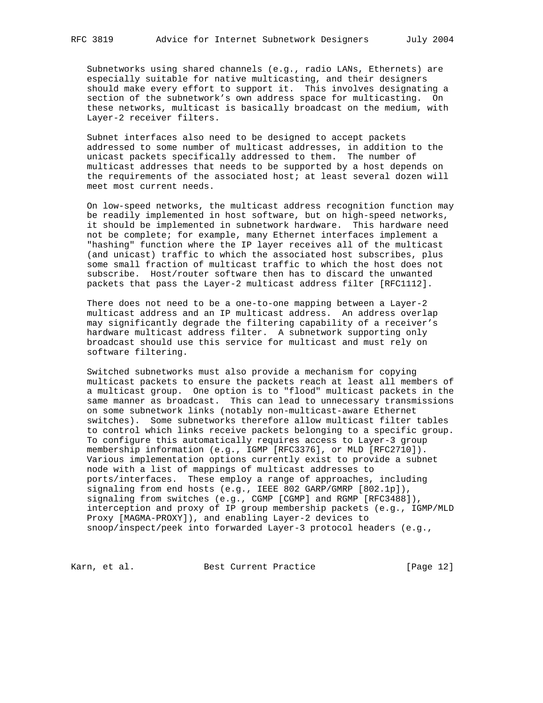Subnetworks using shared channels (e.g., radio LANs, Ethernets) are especially suitable for native multicasting, and their designers should make every effort to support it. This involves designating a section of the subnetwork's own address space for multicasting. On these networks, multicast is basically broadcast on the medium, with Layer-2 receiver filters.

 Subnet interfaces also need to be designed to accept packets addressed to some number of multicast addresses, in addition to the unicast packets specifically addressed to them. The number of multicast addresses that needs to be supported by a host depends on the requirements of the associated host; at least several dozen will meet most current needs.

 On low-speed networks, the multicast address recognition function may be readily implemented in host software, but on high-speed networks, it should be implemented in subnetwork hardware. This hardware need not be complete; for example, many Ethernet interfaces implement a "hashing" function where the IP layer receives all of the multicast (and unicast) traffic to which the associated host subscribes, plus some small fraction of multicast traffic to which the host does not subscribe. Host/router software then has to discard the unwanted packets that pass the Layer-2 multicast address filter [RFC1112].

 There does not need to be a one-to-one mapping between a Layer-2 multicast address and an IP multicast address. An address overlap may significantly degrade the filtering capability of a receiver's hardware multicast address filter. A subnetwork supporting only broadcast should use this service for multicast and must rely on software filtering.

 Switched subnetworks must also provide a mechanism for copying multicast packets to ensure the packets reach at least all members of a multicast group. One option is to "flood" multicast packets in the same manner as broadcast. This can lead to unnecessary transmissions on some subnetwork links (notably non-multicast-aware Ethernet switches). Some subnetworks therefore allow multicast filter tables to control which links receive packets belonging to a specific group. To configure this automatically requires access to Layer-3 group membership information (e.g., IGMP [RFC3376], or MLD [RFC2710]). Various implementation options currently exist to provide a subnet node with a list of mappings of multicast addresses to ports/interfaces. These employ a range of approaches, including signaling from end hosts (e.g., IEEE 802 GARP/GMRP [802.1p]), signaling from switches (e.g., CGMP [CGMP] and RGMP [RFC3488]), interception and proxy of IP group membership packets (e.g., IGMP/MLD Proxy [MAGMA-PROXY]), and enabling Layer-2 devices to snoop/inspect/peek into forwarded Layer-3 protocol headers (e.g.,

Karn, et al. Best Current Practice [Page 12]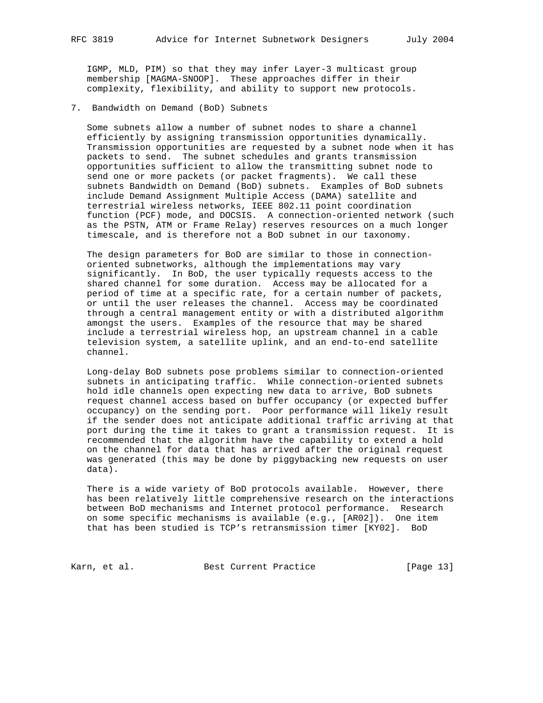IGMP, MLD, PIM) so that they may infer Layer-3 multicast group membership [MAGMA-SNOOP]. These approaches differ in their complexity, flexibility, and ability to support new protocols.

7. Bandwidth on Demand (BoD) Subnets

 Some subnets allow a number of subnet nodes to share a channel efficiently by assigning transmission opportunities dynamically. Transmission opportunities are requested by a subnet node when it has packets to send. The subnet schedules and grants transmission opportunities sufficient to allow the transmitting subnet node to send one or more packets (or packet fragments). We call these subnets Bandwidth on Demand (BoD) subnets. Examples of BoD subnets include Demand Assignment Multiple Access (DAMA) satellite and terrestrial wireless networks, IEEE 802.11 point coordination function (PCF) mode, and DOCSIS. A connection-oriented network (such as the PSTN, ATM or Frame Relay) reserves resources on a much longer timescale, and is therefore not a BoD subnet in our taxonomy.

 The design parameters for BoD are similar to those in connection oriented subnetworks, although the implementations may vary significantly. In BoD, the user typically requests access to the shared channel for some duration. Access may be allocated for a period of time at a specific rate, for a certain number of packets, or until the user releases the channel. Access may be coordinated through a central management entity or with a distributed algorithm amongst the users. Examples of the resource that may be shared include a terrestrial wireless hop, an upstream channel in a cable television system, a satellite uplink, and an end-to-end satellite channel.

 Long-delay BoD subnets pose problems similar to connection-oriented subnets in anticipating traffic. While connection-oriented subnets hold idle channels open expecting new data to arrive, BoD subnets request channel access based on buffer occupancy (or expected buffer occupancy) on the sending port. Poor performance will likely result if the sender does not anticipate additional traffic arriving at that port during the time it takes to grant a transmission request. It is recommended that the algorithm have the capability to extend a hold on the channel for data that has arrived after the original request was generated (this may be done by piggybacking new requests on user data).

 There is a wide variety of BoD protocols available. However, there has been relatively little comprehensive research on the interactions between BoD mechanisms and Internet protocol performance. Research on some specific mechanisms is available (e.g., [AR02]). One item that has been studied is TCP's retransmission timer [KY02]. BoD

Karn, et al. Sest Current Practice [Page 13]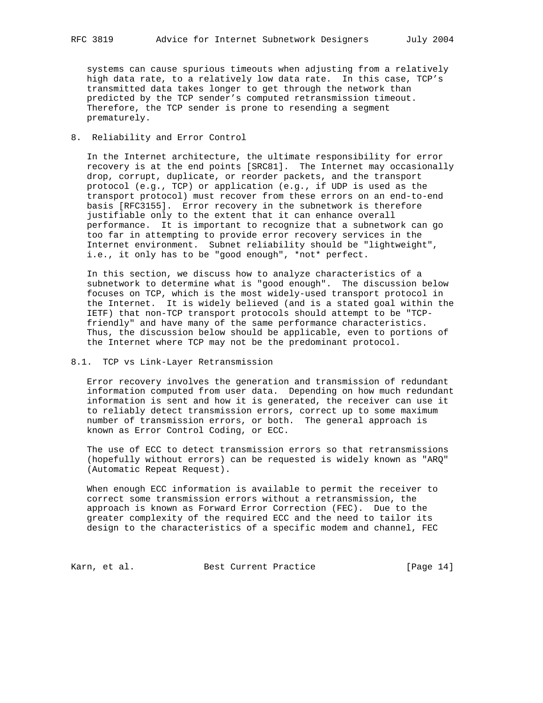systems can cause spurious timeouts when adjusting from a relatively high data rate, to a relatively low data rate. In this case, TCP's transmitted data takes longer to get through the network than predicted by the TCP sender's computed retransmission timeout. Therefore, the TCP sender is prone to resending a segment prematurely.

## 8. Reliability and Error Control

 In the Internet architecture, the ultimate responsibility for error recovery is at the end points [SRC81]. The Internet may occasionally drop, corrupt, duplicate, or reorder packets, and the transport protocol (e.g., TCP) or application (e.g., if UDP is used as the transport protocol) must recover from these errors on an end-to-end basis [RFC3155]. Error recovery in the subnetwork is therefore justifiable only to the extent that it can enhance overall performance. It is important to recognize that a subnetwork can go too far in attempting to provide error recovery services in the Internet environment. Subnet reliability should be "lightweight", i.e., it only has to be "good enough", \*not\* perfect.

 In this section, we discuss how to analyze characteristics of a subnetwork to determine what is "good enough". The discussion below focuses on TCP, which is the most widely-used transport protocol in the Internet. It is widely believed (and is a stated goal within the IETF) that non-TCP transport protocols should attempt to be "TCP friendly" and have many of the same performance characteristics. Thus, the discussion below should be applicable, even to portions of the Internet where TCP may not be the predominant protocol.

## 8.1. TCP vs Link-Layer Retransmission

 Error recovery involves the generation and transmission of redundant information computed from user data. Depending on how much redundant information is sent and how it is generated, the receiver can use it to reliably detect transmission errors, correct up to some maximum number of transmission errors, or both. The general approach is known as Error Control Coding, or ECC.

 The use of ECC to detect transmission errors so that retransmissions (hopefully without errors) can be requested is widely known as "ARQ" (Automatic Repeat Request).

 When enough ECC information is available to permit the receiver to correct some transmission errors without a retransmission, the approach is known as Forward Error Correction (FEC). Due to the greater complexity of the required ECC and the need to tailor its design to the characteristics of a specific modem and channel, FEC

Karn, et al. Sest Current Practice [Page 14]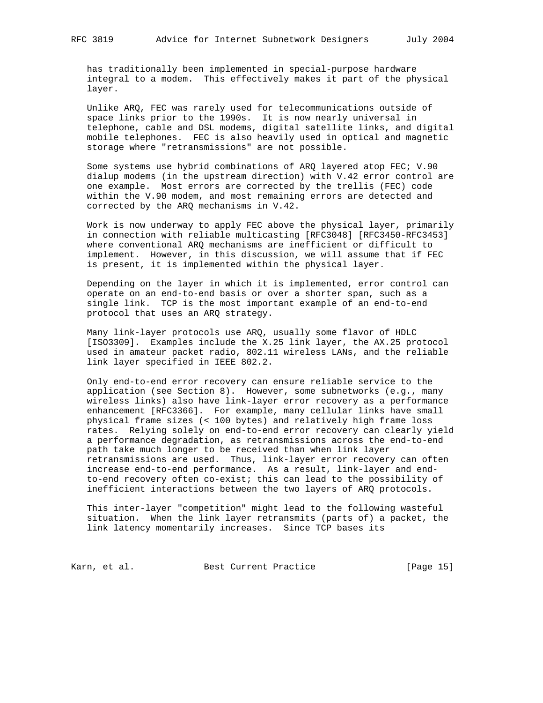has traditionally been implemented in special-purpose hardware integral to a modem. This effectively makes it part of the physical layer.

 Unlike ARQ, FEC was rarely used for telecommunications outside of space links prior to the 1990s. It is now nearly universal in telephone, cable and DSL modems, digital satellite links, and digital mobile telephones. FEC is also heavily used in optical and magnetic storage where "retransmissions" are not possible.

 Some systems use hybrid combinations of ARQ layered atop FEC; V.90 dialup modems (in the upstream direction) with V.42 error control are one example. Most errors are corrected by the trellis (FEC) code within the V.90 modem, and most remaining errors are detected and corrected by the ARQ mechanisms in V.42.

 Work is now underway to apply FEC above the physical layer, primarily in connection with reliable multicasting [RFC3048] [RFC3450-RFC3453] where conventional ARQ mechanisms are inefficient or difficult to implement. However, in this discussion, we will assume that if FEC is present, it is implemented within the physical layer.

 Depending on the layer in which it is implemented, error control can operate on an end-to-end basis or over a shorter span, such as a single link. TCP is the most important example of an end-to-end protocol that uses an ARQ strategy.

 Many link-layer protocols use ARQ, usually some flavor of HDLC [ISO3309]. Examples include the X.25 link layer, the AX.25 protocol used in amateur packet radio, 802.11 wireless LANs, and the reliable link layer specified in IEEE 802.2.

 Only end-to-end error recovery can ensure reliable service to the application (see Section 8). However, some subnetworks (e.g., many wireless links) also have link-layer error recovery as a performance enhancement [RFC3366]. For example, many cellular links have small physical frame sizes (< 100 bytes) and relatively high frame loss rates. Relying solely on end-to-end error recovery can clearly yield a performance degradation, as retransmissions across the end-to-end path take much longer to be received than when link layer retransmissions are used. Thus, link-layer error recovery can often increase end-to-end performance. As a result, link-layer and end to-end recovery often co-exist; this can lead to the possibility of inefficient interactions between the two layers of ARQ protocols.

 This inter-layer "competition" might lead to the following wasteful situation. When the link layer retransmits (parts of) a packet, the link latency momentarily increases. Since TCP bases its

Karn, et al. Sest Current Practice [Page 15]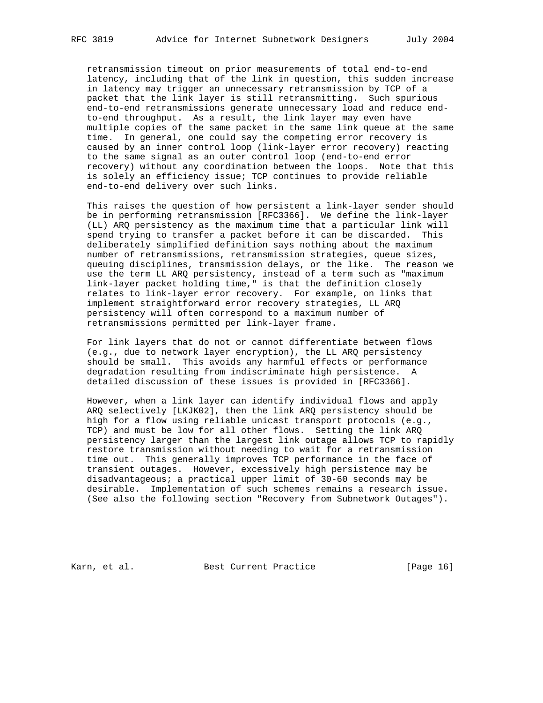retransmission timeout on prior measurements of total end-to-end latency, including that of the link in question, this sudden increase in latency may trigger an unnecessary retransmission by TCP of a packet that the link layer is still retransmitting. Such spurious end-to-end retransmissions generate unnecessary load and reduce end to-end throughput. As a result, the link layer may even have multiple copies of the same packet in the same link queue at the same time. In general, one could say the competing error recovery is caused by an inner control loop (link-layer error recovery) reacting to the same signal as an outer control loop (end-to-end error recovery) without any coordination between the loops. Note that this is solely an efficiency issue; TCP continues to provide reliable end-to-end delivery over such links.

 This raises the question of how persistent a link-layer sender should be in performing retransmission [RFC3366]. We define the link-layer (LL) ARQ persistency as the maximum time that a particular link will spend trying to transfer a packet before it can be discarded. This deliberately simplified definition says nothing about the maximum number of retransmissions, retransmission strategies, queue sizes, queuing disciplines, transmission delays, or the like. The reason we use the term LL ARQ persistency, instead of a term such as "maximum link-layer packet holding time," is that the definition closely relates to link-layer error recovery. For example, on links that implement straightforward error recovery strategies, LL ARQ persistency will often correspond to a maximum number of retransmissions permitted per link-layer frame.

 For link layers that do not or cannot differentiate between flows (e.g., due to network layer encryption), the LL ARQ persistency should be small. This avoids any harmful effects or performance degradation resulting from indiscriminate high persistence. A detailed discussion of these issues is provided in [RFC3366].

 However, when a link layer can identify individual flows and apply ARQ selectively [LKJK02], then the link ARQ persistency should be high for a flow using reliable unicast transport protocols (e.g., TCP) and must be low for all other flows. Setting the link ARQ persistency larger than the largest link outage allows TCP to rapidly restore transmission without needing to wait for a retransmission time out. This generally improves TCP performance in the face of transient outages. However, excessively high persistence may be disadvantageous; a practical upper limit of 30-60 seconds may be desirable. Implementation of such schemes remains a research issue. (See also the following section "Recovery from Subnetwork Outages").

Karn, et al. Best Current Practice [Page 16]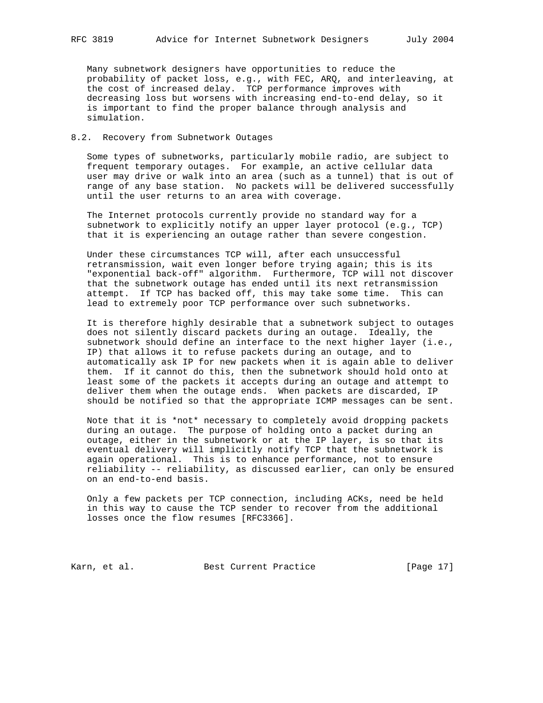Many subnetwork designers have opportunities to reduce the probability of packet loss, e.g., with FEC, ARQ, and interleaving, at the cost of increased delay. TCP performance improves with decreasing loss but worsens with increasing end-to-end delay, so it is important to find the proper balance through analysis and simulation.

# 8.2. Recovery from Subnetwork Outages

 Some types of subnetworks, particularly mobile radio, are subject to frequent temporary outages. For example, an active cellular data user may drive or walk into an area (such as a tunnel) that is out of range of any base station. No packets will be delivered successfully until the user returns to an area with coverage.

 The Internet protocols currently provide no standard way for a subnetwork to explicitly notify an upper layer protocol (e.g., TCP) that it is experiencing an outage rather than severe congestion.

 Under these circumstances TCP will, after each unsuccessful retransmission, wait even longer before trying again; this is its "exponential back-off" algorithm. Furthermore, TCP will not discover that the subnetwork outage has ended until its next retransmission attempt. If TCP has backed off, this may take some time. This can lead to extremely poor TCP performance over such subnetworks.

 It is therefore highly desirable that a subnetwork subject to outages does not silently discard packets during an outage. Ideally, the subnetwork should define an interface to the next higher layer (i.e., IP) that allows it to refuse packets during an outage, and to automatically ask IP for new packets when it is again able to deliver them. If it cannot do this, then the subnetwork should hold onto at least some of the packets it accepts during an outage and attempt to deliver them when the outage ends. When packets are discarded, IP should be notified so that the appropriate ICMP messages can be sent.

 Note that it is \*not\* necessary to completely avoid dropping packets during an outage. The purpose of holding onto a packet during an outage, either in the subnetwork or at the IP layer, is so that its eventual delivery will implicitly notify TCP that the subnetwork is again operational. This is to enhance performance, not to ensure reliability -- reliability, as discussed earlier, can only be ensured on an end-to-end basis.

 Only a few packets per TCP connection, including ACKs, need be held in this way to cause the TCP sender to recover from the additional losses once the flow resumes [RFC3366].

Karn, et al. Sest Current Practice [Page 17]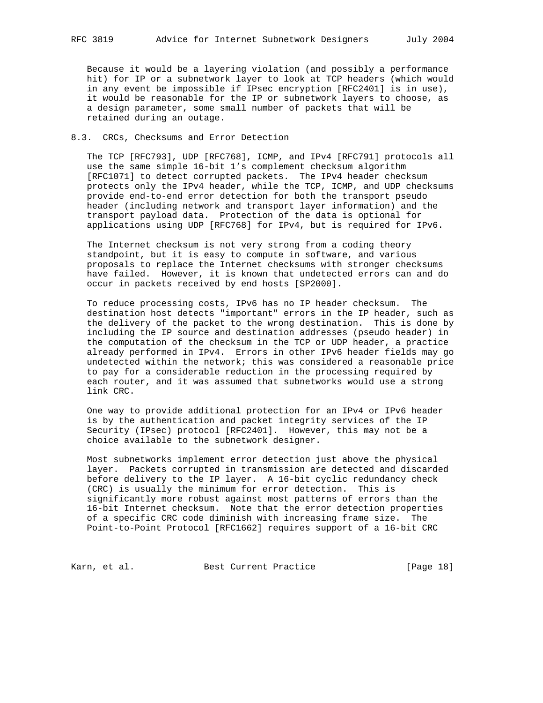Because it would be a layering violation (and possibly a performance hit) for IP or a subnetwork layer to look at TCP headers (which would in any event be impossible if IPsec encryption [RFC2401] is in use), it would be reasonable for the IP or subnetwork layers to choose, as a design parameter, some small number of packets that will be retained during an outage.

#### 8.3. CRCs, Checksums and Error Detection

 The TCP [RFC793], UDP [RFC768], ICMP, and IPv4 [RFC791] protocols all use the same simple 16-bit 1's complement checksum algorithm [RFC1071] to detect corrupted packets. The IPv4 header checksum protects only the IPv4 header, while the TCP, ICMP, and UDP checksums provide end-to-end error detection for both the transport pseudo header (including network and transport layer information) and the transport payload data. Protection of the data is optional for applications using UDP [RFC768] for IPv4, but is required for IPv6.

 The Internet checksum is not very strong from a coding theory standpoint, but it is easy to compute in software, and various proposals to replace the Internet checksums with stronger checksums have failed. However, it is known that undetected errors can and do occur in packets received by end hosts [SP2000].

 To reduce processing costs, IPv6 has no IP header checksum. The destination host detects "important" errors in the IP header, such as the delivery of the packet to the wrong destination. This is done by including the IP source and destination addresses (pseudo header) in the computation of the checksum in the TCP or UDP header, a practice already performed in IPv4. Errors in other IPv6 header fields may go undetected within the network; this was considered a reasonable price to pay for a considerable reduction in the processing required by each router, and it was assumed that subnetworks would use a strong link CRC.

 One way to provide additional protection for an IPv4 or IPv6 header is by the authentication and packet integrity services of the IP Security (IPsec) protocol [RFC2401]. However, this may not be a choice available to the subnetwork designer.

 Most subnetworks implement error detection just above the physical layer. Packets corrupted in transmission are detected and discarded before delivery to the IP layer. A 16-bit cyclic redundancy check (CRC) is usually the minimum for error detection. This is significantly more robust against most patterns of errors than the 16-bit Internet checksum. Note that the error detection properties of a specific CRC code diminish with increasing frame size. The Point-to-Point Protocol [RFC1662] requires support of a 16-bit CRC

Karn, et al. Sest Current Practice [Page 18]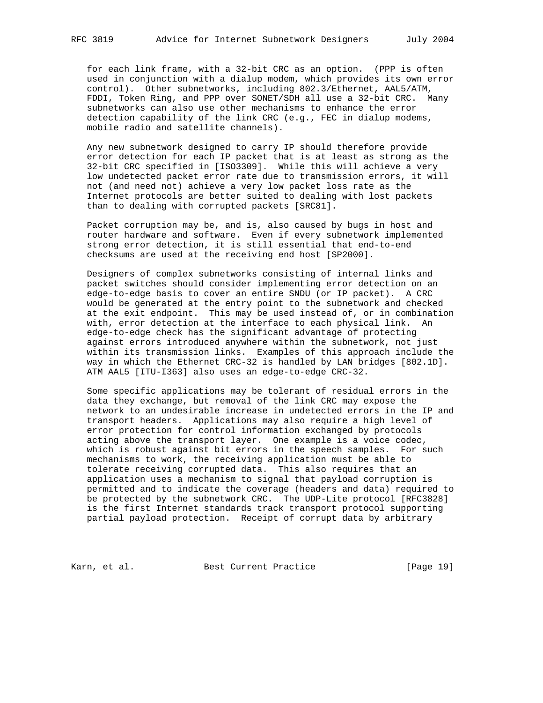for each link frame, with a 32-bit CRC as an option. (PPP is often used in conjunction with a dialup modem, which provides its own error control). Other subnetworks, including 802.3/Ethernet, AAL5/ATM, FDDI, Token Ring, and PPP over SONET/SDH all use a 32-bit CRC. Many subnetworks can also use other mechanisms to enhance the error detection capability of the link CRC (e.g., FEC in dialup modems, mobile radio and satellite channels).

 Any new subnetwork designed to carry IP should therefore provide error detection for each IP packet that is at least as strong as the 32-bit CRC specified in [ISO3309]. While this will achieve a very low undetected packet error rate due to transmission errors, it will not (and need not) achieve a very low packet loss rate as the Internet protocols are better suited to dealing with lost packets than to dealing with corrupted packets [SRC81].

 Packet corruption may be, and is, also caused by bugs in host and router hardware and software. Even if every subnetwork implemented strong error detection, it is still essential that end-to-end checksums are used at the receiving end host [SP2000].

 Designers of complex subnetworks consisting of internal links and packet switches should consider implementing error detection on an edge-to-edge basis to cover an entire SNDU (or IP packet). A CRC would be generated at the entry point to the subnetwork and checked at the exit endpoint. This may be used instead of, or in combination with, error detection at the interface to each physical link. An edge-to-edge check has the significant advantage of protecting against errors introduced anywhere within the subnetwork, not just within its transmission links. Examples of this approach include the way in which the Ethernet CRC-32 is handled by LAN bridges [802.1D]. ATM AAL5 [ITU-I363] also uses an edge-to-edge CRC-32.

 Some specific applications may be tolerant of residual errors in the data they exchange, but removal of the link CRC may expose the network to an undesirable increase in undetected errors in the IP and transport headers. Applications may also require a high level of error protection for control information exchanged by protocols acting above the transport layer. One example is a voice codec, which is robust against bit errors in the speech samples. For such mechanisms to work, the receiving application must be able to tolerate receiving corrupted data. This also requires that an application uses a mechanism to signal that payload corruption is permitted and to indicate the coverage (headers and data) required to be protected by the subnetwork CRC. The UDP-Lite protocol [RFC3828] is the first Internet standards track transport protocol supporting partial payload protection. Receipt of corrupt data by arbitrary

Karn, et al. Sest Current Practice [Page 19]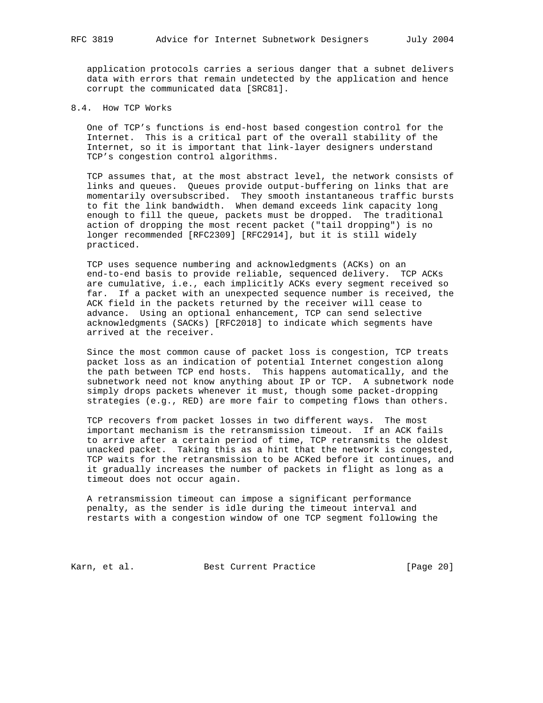application protocols carries a serious danger that a subnet delivers data with errors that remain undetected by the application and hence corrupt the communicated data [SRC81].

8.4. How TCP Works

 One of TCP's functions is end-host based congestion control for the Internet. This is a critical part of the overall stability of the Internet, so it is important that link-layer designers understand TCP's congestion control algorithms.

 TCP assumes that, at the most abstract level, the network consists of links and queues. Queues provide output-buffering on links that are momentarily oversubscribed. They smooth instantaneous traffic bursts to fit the link bandwidth. When demand exceeds link capacity long enough to fill the queue, packets must be dropped. The traditional action of dropping the most recent packet ("tail dropping") is no longer recommended [RFC2309] [RFC2914], but it is still widely practiced.

 TCP uses sequence numbering and acknowledgments (ACKs) on an end-to-end basis to provide reliable, sequenced delivery. TCP ACKs are cumulative, i.e., each implicitly ACKs every segment received so far. If a packet with an unexpected sequence number is received, the ACK field in the packets returned by the receiver will cease to advance. Using an optional enhancement, TCP can send selective acknowledgments (SACKs) [RFC2018] to indicate which segments have arrived at the receiver.

 Since the most common cause of packet loss is congestion, TCP treats packet loss as an indication of potential Internet congestion along the path between TCP end hosts. This happens automatically, and the subnetwork need not know anything about IP or TCP. A subnetwork node simply drops packets whenever it must, though some packet-dropping strategies (e.g., RED) are more fair to competing flows than others.

 TCP recovers from packet losses in two different ways. The most important mechanism is the retransmission timeout. If an ACK fails to arrive after a certain period of time, TCP retransmits the oldest unacked packet. Taking this as a hint that the network is congested, TCP waits for the retransmission to be ACKed before it continues, and it gradually increases the number of packets in flight as long as a timeout does not occur again.

 A retransmission timeout can impose a significant performance penalty, as the sender is idle during the timeout interval and restarts with a congestion window of one TCP segment following the

Karn, et al. Best Current Practice [Page 20]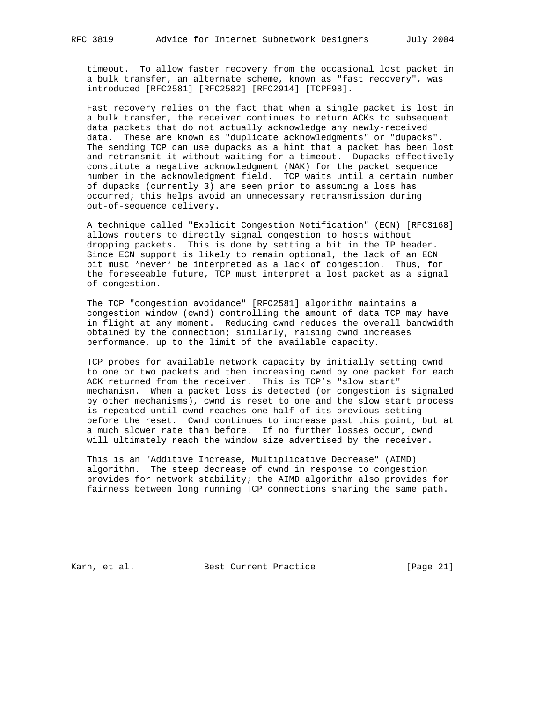timeout. To allow faster recovery from the occasional lost packet in a bulk transfer, an alternate scheme, known as "fast recovery", was introduced [RFC2581] [RFC2582] [RFC2914] [TCPF98].

 Fast recovery relies on the fact that when a single packet is lost in a bulk transfer, the receiver continues to return ACKs to subsequent data packets that do not actually acknowledge any newly-received data. These are known as "duplicate acknowledgments" or "dupacks". The sending TCP can use dupacks as a hint that a packet has been lost and retransmit it without waiting for a timeout. Dupacks effectively constitute a negative acknowledgment (NAK) for the packet sequence number in the acknowledgment field. TCP waits until a certain number of dupacks (currently 3) are seen prior to assuming a loss has occurred; this helps avoid an unnecessary retransmission during out-of-sequence delivery.

 A technique called "Explicit Congestion Notification" (ECN) [RFC3168] allows routers to directly signal congestion to hosts without dropping packets. This is done by setting a bit in the IP header. Since ECN support is likely to remain optional, the lack of an ECN bit must \*never\* be interpreted as a lack of congestion. Thus, for the foreseeable future, TCP must interpret a lost packet as a signal of congestion.

 The TCP "congestion avoidance" [RFC2581] algorithm maintains a congestion window (cwnd) controlling the amount of data TCP may have in flight at any moment. Reducing cwnd reduces the overall bandwidth obtained by the connection; similarly, raising cwnd increases performance, up to the limit of the available capacity.

 TCP probes for available network capacity by initially setting cwnd to one or two packets and then increasing cwnd by one packet for each ACK returned from the receiver. This is TCP's "slow start" mechanism. When a packet loss is detected (or congestion is signaled by other mechanisms), cwnd is reset to one and the slow start process is repeated until cwnd reaches one half of its previous setting before the reset. Cwnd continues to increase past this point, but at a much slower rate than before. If no further losses occur, cwnd will ultimately reach the window size advertised by the receiver.

 This is an "Additive Increase, Multiplicative Decrease" (AIMD) algorithm. The steep decrease of cwnd in response to congestion provides for network stability; the AIMD algorithm also provides for fairness between long running TCP connections sharing the same path.

Karn, et al. Best Current Practice [Page 21]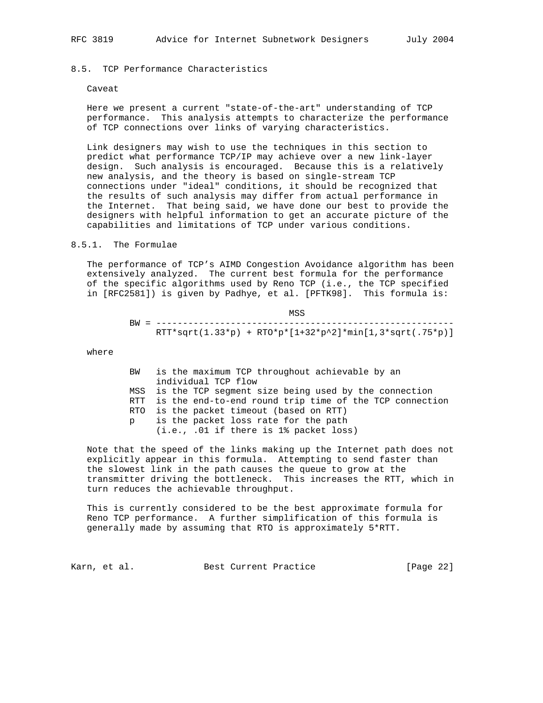# 8.5. TCP Performance Characteristics

#### Caveat

 Here we present a current "state-of-the-art" understanding of TCP performance. This analysis attempts to characterize the performance of TCP connections over links of varying characteristics.

 Link designers may wish to use the techniques in this section to predict what performance TCP/IP may achieve over a new link-layer design. Such analysis is encouraged. Because this is a relatively new analysis, and the theory is based on single-stream TCP connections under "ideal" conditions, it should be recognized that the results of such analysis may differ from actual performance in the Internet. That being said, we have done our best to provide the designers with helpful information to get an accurate picture of the capabilities and limitations of TCP under various conditions.

#### 8.5.1. The Formulae

 The performance of TCP's AIMD Congestion Avoidance algorithm has been extensively analyzed. The current best formula for the performance of the specific algorithms used by Reno TCP (i.e., the TCP specified in [RFC2581]) is given by Padhye, et al. [PFTK98]. This formula is:

|                                                            | MSS |  |
|------------------------------------------------------------|-----|--|
|                                                            |     |  |
| $RTT*sqrt(1.33*p) + RT0*p*[1+32*p^2]*min[1,3*sqrt(.75*p)]$ |     |  |

where

| BW | is the maximum TCP throughout achievable by an              |
|----|-------------------------------------------------------------|
|    | individual TCP flow                                         |
|    | MSS is the TCP seqment size being used by the connection    |
|    | RTT is the end-to-end round trip time of the TCP connection |
|    | RTO is the packet timeout (based on RTT)                    |
| p. | is the packet loss rate for the path                        |
|    | $(i.e., .01 if there is 1% packet loss)$                    |

 Note that the speed of the links making up the Internet path does not explicitly appear in this formula. Attempting to send faster than the slowest link in the path causes the queue to grow at the transmitter driving the bottleneck. This increases the RTT, which in turn reduces the achievable throughput.

 This is currently considered to be the best approximate formula for Reno TCP performance. A further simplification of this formula is generally made by assuming that RTO is approximately 5\*RTT.

Karn, et al. Best Current Practice [Page 22]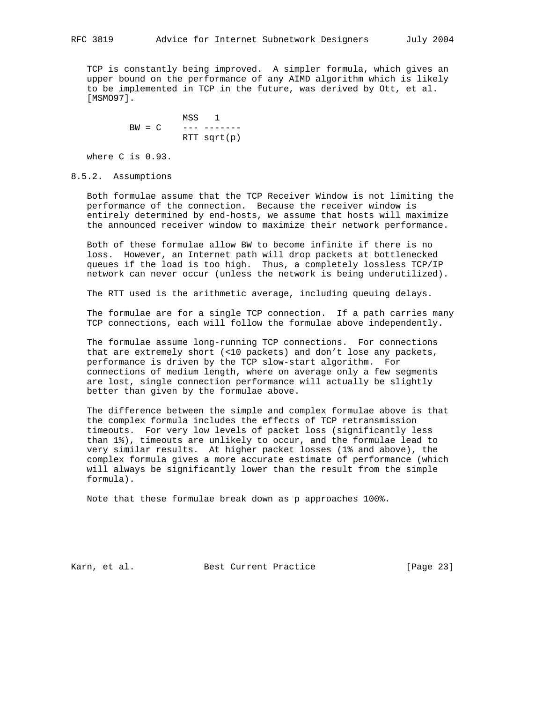TCP is constantly being improved. A simpler formula, which gives an upper bound on the performance of any AIMD algorithm which is likely to be implemented in TCP in the future, was derived by Ott, et al. [MSMO97].

 MSS 1 BW = C --- ------- RTT sqrt(p)

where C is 0.93.

# 8.5.2. Assumptions

 Both formulae assume that the TCP Receiver Window is not limiting the performance of the connection. Because the receiver window is entirely determined by end-hosts, we assume that hosts will maximize the announced receiver window to maximize their network performance.

 Both of these formulae allow BW to become infinite if there is no loss. However, an Internet path will drop packets at bottlenecked queues if the load is too high. Thus, a completely lossless TCP/IP network can never occur (unless the network is being underutilized).

The RTT used is the arithmetic average, including queuing delays.

 The formulae are for a single TCP connection. If a path carries many TCP connections, each will follow the formulae above independently.

 The formulae assume long-running TCP connections. For connections that are extremely short (<10 packets) and don't lose any packets, performance is driven by the TCP slow-start algorithm. For connections of medium length, where on average only a few segments are lost, single connection performance will actually be slightly better than given by the formulae above.

 The difference between the simple and complex formulae above is that the complex formula includes the effects of TCP retransmission timeouts. For very low levels of packet loss (significantly less than 1%), timeouts are unlikely to occur, and the formulae lead to very similar results. At higher packet losses (1% and above), the complex formula gives a more accurate estimate of performance (which will always be significantly lower than the result from the simple formula).

Note that these formulae break down as p approaches 100%.

Karn, et al. Best Current Practice [Page 23]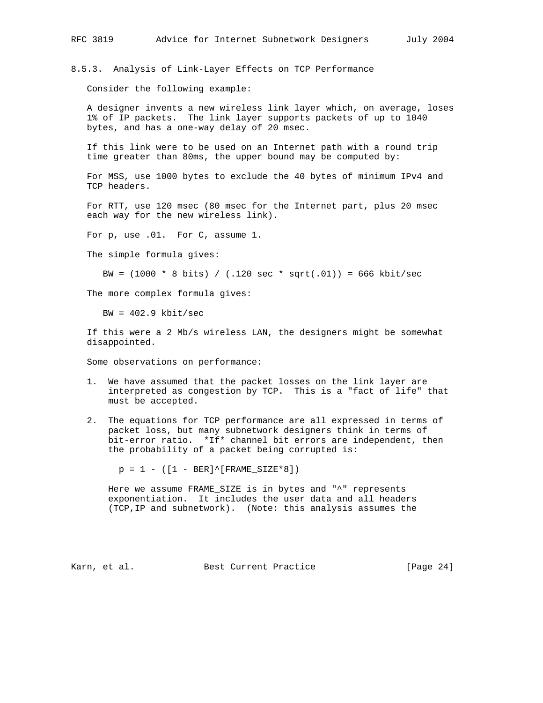8.5.3. Analysis of Link-Layer Effects on TCP Performance

Consider the following example:

 A designer invents a new wireless link layer which, on average, loses 1% of IP packets. The link layer supports packets of up to 1040 bytes, and has a one-way delay of 20 msec.

 If this link were to be used on an Internet path with a round trip time greater than 80ms, the upper bound may be computed by:

 For MSS, use 1000 bytes to exclude the 40 bytes of minimum IPv4 and TCP headers.

 For RTT, use 120 msec (80 msec for the Internet part, plus 20 msec each way for the new wireless link).

For p, use .01. For C, assume 1.

The simple formula gives:

BW =  $(1000 * 8 \text{ bits}) / (.120 \text{ sec} * \text{ sqrt}(.01)) = 666 \text{ kbit/sec}$ 

The more complex formula gives:

 $BW = 402.9$  kbit/sec

 If this were a 2 Mb/s wireless LAN, the designers might be somewhat disappointed.

Some observations on performance:

- 1. We have assumed that the packet losses on the link layer are interpreted as congestion by TCP. This is a "fact of life" that must be accepted.
- 2. The equations for TCP performance are all expressed in terms of packet loss, but many subnetwork designers think in terms of bit-error ratio. \*If\* channel bit errors are independent, then the probability of a packet being corrupted is:

 $p = 1 - ([1 - BER]^(FRAME_SIZE * 8])$ 

 Here we assume FRAME\_SIZE is in bytes and "^" represents exponentiation. It includes the user data and all headers (TCP,IP and subnetwork). (Note: this analysis assumes the

Karn, et al. Best Current Practice [Page 24]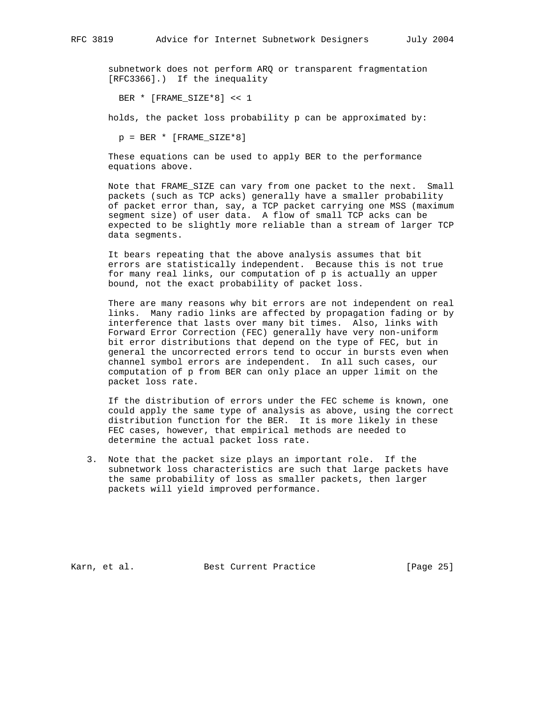subnetwork does not perform ARQ or transparent fragmentation [RFC3366].) If the inequality

BER \* [FRAME\_SIZE\*8] << 1

holds, the packet loss probability p can be approximated by:

 $p = BER * [FRAME_SIZE*8]$ 

 These equations can be used to apply BER to the performance equations above.

 Note that FRAME\_SIZE can vary from one packet to the next. Small packets (such as TCP acks) generally have a smaller probability of packet error than, say, a TCP packet carrying one MSS (maximum segment size) of user data. A flow of small TCP acks can be expected to be slightly more reliable than a stream of larger TCP data segments.

 It bears repeating that the above analysis assumes that bit errors are statistically independent. Because this is not true for many real links, our computation of p is actually an upper bound, not the exact probability of packet loss.

 There are many reasons why bit errors are not independent on real links. Many radio links are affected by propagation fading or by interference that lasts over many bit times. Also, links with Forward Error Correction (FEC) generally have very non-uniform bit error distributions that depend on the type of FEC, but in general the uncorrected errors tend to occur in bursts even when channel symbol errors are independent. In all such cases, our computation of p from BER can only place an upper limit on the packet loss rate.

 If the distribution of errors under the FEC scheme is known, one could apply the same type of analysis as above, using the correct distribution function for the BER. It is more likely in these FEC cases, however, that empirical methods are needed to determine the actual packet loss rate.

 3. Note that the packet size plays an important role. If the subnetwork loss characteristics are such that large packets have the same probability of loss as smaller packets, then larger packets will yield improved performance.

Karn, et al. Sest Current Practice [Page 25]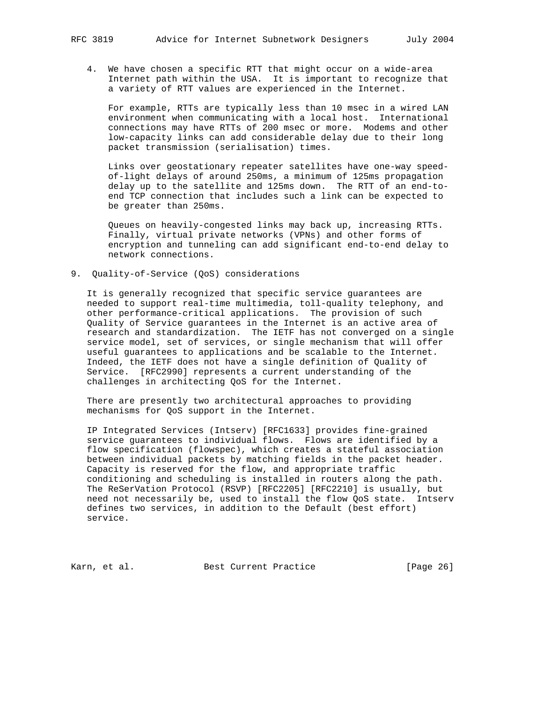4. We have chosen a specific RTT that might occur on a wide-area Internet path within the USA. It is important to recognize that a variety of RTT values are experienced in the Internet.

 For example, RTTs are typically less than 10 msec in a wired LAN environment when communicating with a local host. International connections may have RTTs of 200 msec or more. Modems and other low-capacity links can add considerable delay due to their long packet transmission (serialisation) times.

 Links over geostationary repeater satellites have one-way speed of-light delays of around 250ms, a minimum of 125ms propagation delay up to the satellite and 125ms down. The RTT of an end-to end TCP connection that includes such a link can be expected to be greater than 250ms.

 Queues on heavily-congested links may back up, increasing RTTs. Finally, virtual private networks (VPNs) and other forms of encryption and tunneling can add significant end-to-end delay to network connections.

9. Quality-of-Service (QoS) considerations

 It is generally recognized that specific service guarantees are needed to support real-time multimedia, toll-quality telephony, and other performance-critical applications. The provision of such Quality of Service guarantees in the Internet is an active area of research and standardization. The IETF has not converged on a single service model, set of services, or single mechanism that will offer useful guarantees to applications and be scalable to the Internet. Indeed, the IETF does not have a single definition of Quality of Service. [RFC2990] represents a current understanding of the challenges in architecting QoS for the Internet.

 There are presently two architectural approaches to providing mechanisms for QoS support in the Internet.

 IP Integrated Services (Intserv) [RFC1633] provides fine-grained service guarantees to individual flows. Flows are identified by a flow specification (flowspec), which creates a stateful association between individual packets by matching fields in the packet header. Capacity is reserved for the flow, and appropriate traffic conditioning and scheduling is installed in routers along the path. The ReSerVation Protocol (RSVP) [RFC2205] [RFC2210] is usually, but need not necessarily be, used to install the flow QoS state. Intserv defines two services, in addition to the Default (best effort) service.

Karn, et al. Best Current Practice [Page 26]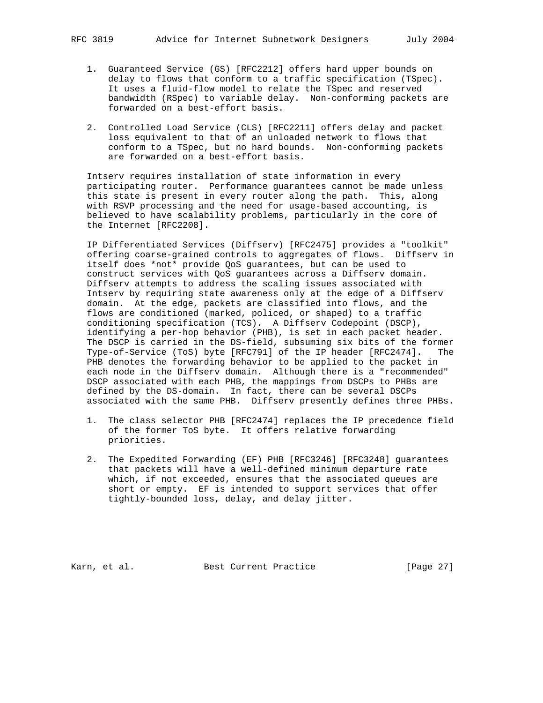- 1. Guaranteed Service (GS) [RFC2212] offers hard upper bounds on delay to flows that conform to a traffic specification (TSpec). It uses a fluid-flow model to relate the TSpec and reserved bandwidth (RSpec) to variable delay. Non-conforming packets are forwarded on a best-effort basis.
- 2. Controlled Load Service (CLS) [RFC2211] offers delay and packet loss equivalent to that of an unloaded network to flows that conform to a TSpec, but no hard bounds. Non-conforming packets are forwarded on a best-effort basis.

 Intserv requires installation of state information in every participating router. Performance guarantees cannot be made unless this state is present in every router along the path. This, along with RSVP processing and the need for usage-based accounting, is believed to have scalability problems, particularly in the core of the Internet [RFC2208].

 IP Differentiated Services (Diffserv) [RFC2475] provides a "toolkit" offering coarse-grained controls to aggregates of flows. Diffserv in itself does \*not\* provide QoS guarantees, but can be used to construct services with QoS guarantees across a Diffserv domain. Diffserv attempts to address the scaling issues associated with Intserv by requiring state awareness only at the edge of a Diffserv domain. At the edge, packets are classified into flows, and the flows are conditioned (marked, policed, or shaped) to a traffic conditioning specification (TCS). A Diffserv Codepoint (DSCP), identifying a per-hop behavior (PHB), is set in each packet header. The DSCP is carried in the DS-field, subsuming six bits of the former Type-of-Service (ToS) byte [RFC791] of the IP header [RFC2474]. The PHB denotes the forwarding behavior to be applied to the packet in each node in the Diffserv domain. Although there is a "recommended" DSCP associated with each PHB, the mappings from DSCPs to PHBs are defined by the DS-domain. In fact, there can be several DSCPs associated with the same PHB. Diffserv presently defines three PHBs.

- 1. The class selector PHB [RFC2474] replaces the IP precedence field of the former ToS byte. It offers relative forwarding priorities.
- 2. The Expedited Forwarding (EF) PHB [RFC3246] [RFC3248] guarantees that packets will have a well-defined minimum departure rate which, if not exceeded, ensures that the associated queues are short or empty. EF is intended to support services that offer tightly-bounded loss, delay, and delay jitter.

Karn, et al. Best Current Practice [Page 27]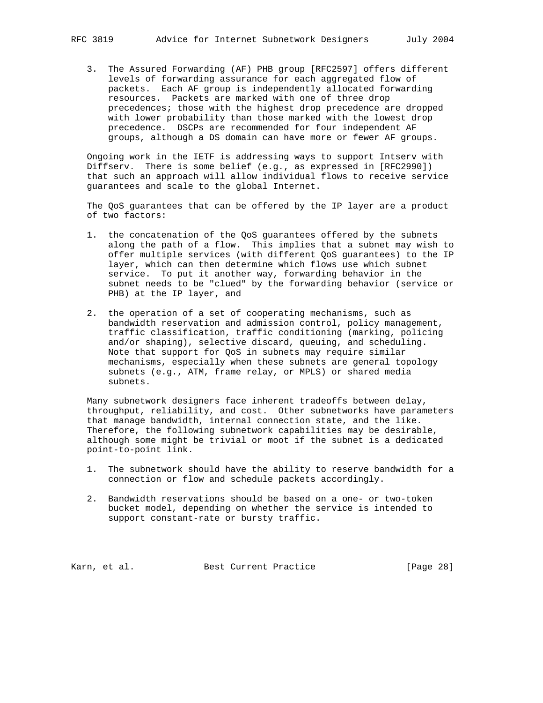3. The Assured Forwarding (AF) PHB group [RFC2597] offers different levels of forwarding assurance for each aggregated flow of packets. Each AF group is independently allocated forwarding resources. Packets are marked with one of three drop precedences; those with the highest drop precedence are dropped with lower probability than those marked with the lowest drop precedence. DSCPs are recommended for four independent AF groups, although a DS domain can have more or fewer AF groups.

 Ongoing work in the IETF is addressing ways to support Intserv with Diffserv. There is some belief (e.g., as expressed in [RFC2990]) that such an approach will allow individual flows to receive service guarantees and scale to the global Internet.

 The QoS guarantees that can be offered by the IP layer are a product of two factors:

- 1. the concatenation of the QoS guarantees offered by the subnets along the path of a flow. This implies that a subnet may wish to offer multiple services (with different QoS guarantees) to the IP layer, which can then determine which flows use which subnet service. To put it another way, forwarding behavior in the subnet needs to be "clued" by the forwarding behavior (service or PHB) at the IP layer, and
- 2. the operation of a set of cooperating mechanisms, such as bandwidth reservation and admission control, policy management, traffic classification, traffic conditioning (marking, policing and/or shaping), selective discard, queuing, and scheduling. Note that support for QoS in subnets may require similar mechanisms, especially when these subnets are general topology subnets (e.g., ATM, frame relay, or MPLS) or shared media subnets.

 Many subnetwork designers face inherent tradeoffs between delay, throughput, reliability, and cost. Other subnetworks have parameters that manage bandwidth, internal connection state, and the like. Therefore, the following subnetwork capabilities may be desirable, although some might be trivial or moot if the subnet is a dedicated point-to-point link.

- 1. The subnetwork should have the ability to reserve bandwidth for a connection or flow and schedule packets accordingly.
- 2. Bandwidth reservations should be based on a one- or two-token bucket model, depending on whether the service is intended to support constant-rate or bursty traffic.

Karn, et al. Sest Current Practice [Page 28]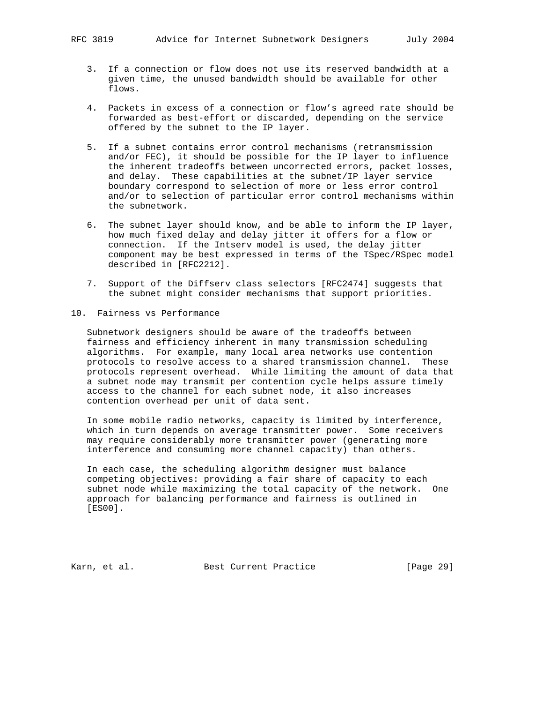- 3. If a connection or flow does not use its reserved bandwidth at a given time, the unused bandwidth should be available for other flows.
- 4. Packets in excess of a connection or flow's agreed rate should be forwarded as best-effort or discarded, depending on the service offered by the subnet to the IP layer.
- 5. If a subnet contains error control mechanisms (retransmission and/or FEC), it should be possible for the IP layer to influence the inherent tradeoffs between uncorrected errors, packet losses, and delay. These capabilities at the subnet/IP layer service boundary correspond to selection of more or less error control and/or to selection of particular error control mechanisms within the subnetwork.
- 6. The subnet layer should know, and be able to inform the IP layer, how much fixed delay and delay jitter it offers for a flow or connection. If the Intserv model is used, the delay jitter component may be best expressed in terms of the TSpec/RSpec model described in [RFC2212].
- 7. Support of the Diffserv class selectors [RFC2474] suggests that the subnet might consider mechanisms that support priorities.

#### 10. Fairness vs Performance

 Subnetwork designers should be aware of the tradeoffs between fairness and efficiency inherent in many transmission scheduling algorithms. For example, many local area networks use contention protocols to resolve access to a shared transmission channel. These protocols represent overhead. While limiting the amount of data that a subnet node may transmit per contention cycle helps assure timely access to the channel for each subnet node, it also increases contention overhead per unit of data sent.

 In some mobile radio networks, capacity is limited by interference, which in turn depends on average transmitter power. Some receivers may require considerably more transmitter power (generating more interference and consuming more channel capacity) than others.

 In each case, the scheduling algorithm designer must balance competing objectives: providing a fair share of capacity to each subnet node while maximizing the total capacity of the network. One approach for balancing performance and fairness is outlined in [ES00].

Karn, et al. Best Current Practice [Page 29]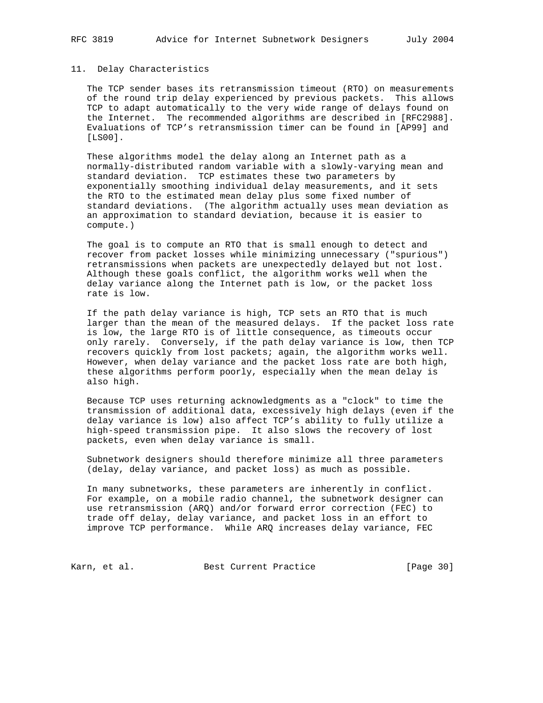#### 11. Delay Characteristics

 The TCP sender bases its retransmission timeout (RTO) on measurements of the round trip delay experienced by previous packets. This allows TCP to adapt automatically to the very wide range of delays found on the Internet. The recommended algorithms are described in [RFC2988]. Evaluations of TCP's retransmission timer can be found in [AP99] and [LS00].

 These algorithms model the delay along an Internet path as a normally-distributed random variable with a slowly-varying mean and standard deviation. TCP estimates these two parameters by exponentially smoothing individual delay measurements, and it sets the RTO to the estimated mean delay plus some fixed number of standard deviations. (The algorithm actually uses mean deviation as an approximation to standard deviation, because it is easier to compute.)

 The goal is to compute an RTO that is small enough to detect and recover from packet losses while minimizing unnecessary ("spurious") retransmissions when packets are unexpectedly delayed but not lost. Although these goals conflict, the algorithm works well when the delay variance along the Internet path is low, or the packet loss rate is low.

 If the path delay variance is high, TCP sets an RTO that is much larger than the mean of the measured delays. If the packet loss rate is low, the large RTO is of little consequence, as timeouts occur only rarely. Conversely, if the path delay variance is low, then TCP recovers quickly from lost packets; again, the algorithm works well. However, when delay variance and the packet loss rate are both high, these algorithms perform poorly, especially when the mean delay is also high.

 Because TCP uses returning acknowledgments as a "clock" to time the transmission of additional data, excessively high delays (even if the delay variance is low) also affect TCP's ability to fully utilize a high-speed transmission pipe. It also slows the recovery of lost packets, even when delay variance is small.

 Subnetwork designers should therefore minimize all three parameters (delay, delay variance, and packet loss) as much as possible.

 In many subnetworks, these parameters are inherently in conflict. For example, on a mobile radio channel, the subnetwork designer can use retransmission (ARQ) and/or forward error correction (FEC) to trade off delay, delay variance, and packet loss in an effort to improve TCP performance. While ARQ increases delay variance, FEC

Karn, et al. Sest Current Practice [Page 30]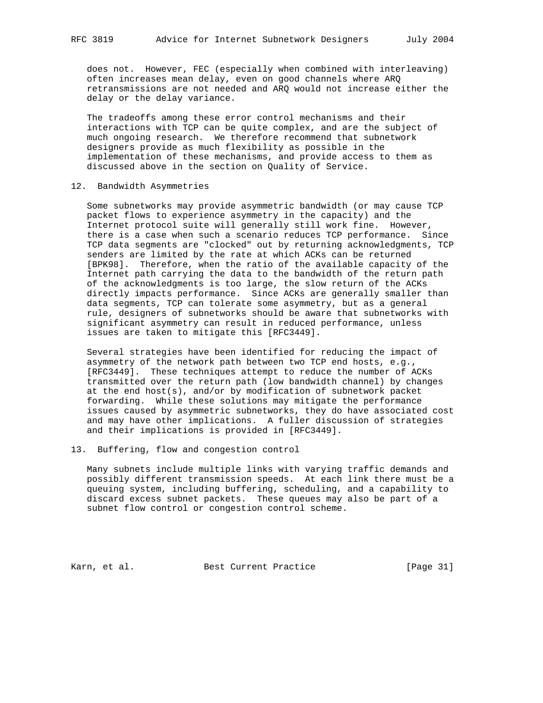does not. However, FEC (especially when combined with interleaving) often increases mean delay, even on good channels where ARQ retransmissions are not needed and ARQ would not increase either the delay or the delay variance.

 The tradeoffs among these error control mechanisms and their interactions with TCP can be quite complex, and are the subject of much ongoing research. We therefore recommend that subnetwork designers provide as much flexibility as possible in the implementation of these mechanisms, and provide access to them as discussed above in the section on Quality of Service.

## 12. Bandwidth Asymmetries

 Some subnetworks may provide asymmetric bandwidth (or may cause TCP packet flows to experience asymmetry in the capacity) and the Internet protocol suite will generally still work fine. However, there is a case when such a scenario reduces TCP performance. Since TCP data segments are "clocked" out by returning acknowledgments, TCP senders are limited by the rate at which ACKs can be returned [BPK98]. Therefore, when the ratio of the available capacity of the Internet path carrying the data to the bandwidth of the return path of the acknowledgments is too large, the slow return of the ACKs directly impacts performance. Since ACKs are generally smaller than data segments, TCP can tolerate some asymmetry, but as a general rule, designers of subnetworks should be aware that subnetworks with significant asymmetry can result in reduced performance, unless issues are taken to mitigate this [RFC3449].

 Several strategies have been identified for reducing the impact of asymmetry of the network path between two TCP end hosts, e.g., [RFC3449]. These techniques attempt to reduce the number of ACKs transmitted over the return path (low bandwidth channel) by changes at the end host(s), and/or by modification of subnetwork packet forwarding. While these solutions may mitigate the performance issues caused by asymmetric subnetworks, they do have associated cost and may have other implications. A fuller discussion of strategies and their implications is provided in [RFC3449].

# 13. Buffering, flow and congestion control

 Many subnets include multiple links with varying traffic demands and possibly different transmission speeds. At each link there must be a queuing system, including buffering, scheduling, and a capability to discard excess subnet packets. These queues may also be part of a subnet flow control or congestion control scheme.

Karn, et al. Sest Current Practice [Page 31]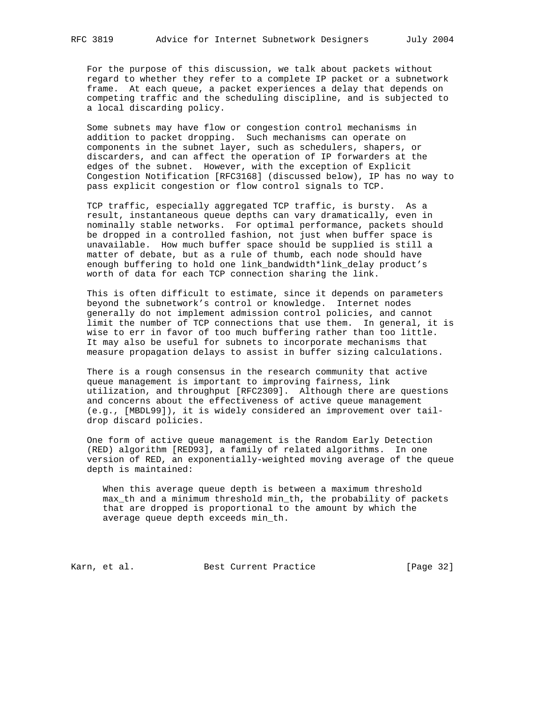For the purpose of this discussion, we talk about packets without regard to whether they refer to a complete IP packet or a subnetwork frame. At each queue, a packet experiences a delay that depends on competing traffic and the scheduling discipline, and is subjected to a local discarding policy.

 Some subnets may have flow or congestion control mechanisms in addition to packet dropping. Such mechanisms can operate on components in the subnet layer, such as schedulers, shapers, or discarders, and can affect the operation of IP forwarders at the edges of the subnet. However, with the exception of Explicit Congestion Notification [RFC3168] (discussed below), IP has no way to pass explicit congestion or flow control signals to TCP.

 TCP traffic, especially aggregated TCP traffic, is bursty. As a result, instantaneous queue depths can vary dramatically, even in nominally stable networks. For optimal performance, packets should be dropped in a controlled fashion, not just when buffer space is unavailable. How much buffer space should be supplied is still a matter of debate, but as a rule of thumb, each node should have enough buffering to hold one link\_bandwidth\*link\_delay product's worth of data for each TCP connection sharing the link.

 This is often difficult to estimate, since it depends on parameters beyond the subnetwork's control or knowledge. Internet nodes generally do not implement admission control policies, and cannot limit the number of TCP connections that use them. In general, it is wise to err in favor of too much buffering rather than too little. It may also be useful for subnets to incorporate mechanisms that measure propagation delays to assist in buffer sizing calculations.

 There is a rough consensus in the research community that active queue management is important to improving fairness, link utilization, and throughput [RFC2309]. Although there are questions and concerns about the effectiveness of active queue management (e.g., [MBDL99]), it is widely considered an improvement over tail drop discard policies.

 One form of active queue management is the Random Early Detection (RED) algorithm [RED93], a family of related algorithms. In one version of RED, an exponentially-weighted moving average of the queue depth is maintained:

 When this average queue depth is between a maximum threshold max\_th and a minimum threshold min\_th, the probability of packets that are dropped is proportional to the amount by which the average queue depth exceeds min\_th.

Karn, et al. Sest Current Practice [Page 32]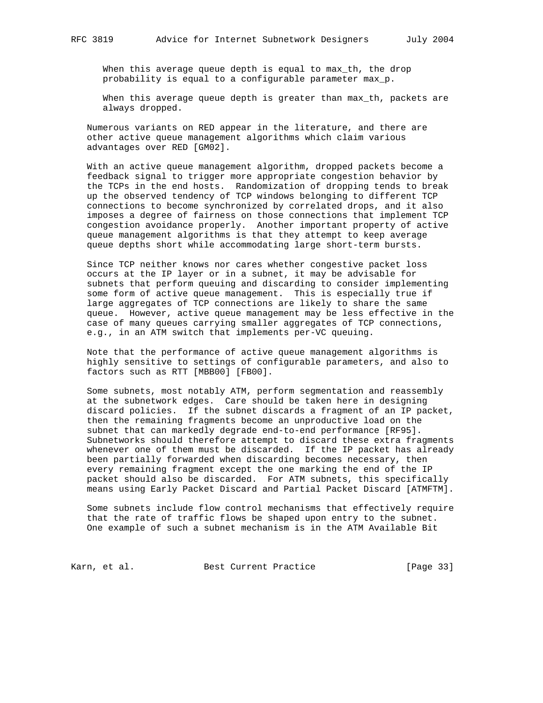When this average queue depth is equal to max\_th, the drop probability is equal to a configurable parameter max\_p.

When this average queue depth is greater than max\_th, packets are always dropped.

 Numerous variants on RED appear in the literature, and there are other active queue management algorithms which claim various advantages over RED [GM02].

 With an active queue management algorithm, dropped packets become a feedback signal to trigger more appropriate congestion behavior by the TCPs in the end hosts. Randomization of dropping tends to break up the observed tendency of TCP windows belonging to different TCP connections to become synchronized by correlated drops, and it also imposes a degree of fairness on those connections that implement TCP congestion avoidance properly. Another important property of active queue management algorithms is that they attempt to keep average queue depths short while accommodating large short-term bursts.

 Since TCP neither knows nor cares whether congestive packet loss occurs at the IP layer or in a subnet, it may be advisable for subnets that perform queuing and discarding to consider implementing some form of active queue management. This is especially true if large aggregates of TCP connections are likely to share the same queue. However, active queue management may be less effective in the case of many queues carrying smaller aggregates of TCP connections, e.g., in an ATM switch that implements per-VC queuing.

 Note that the performance of active queue management algorithms is highly sensitive to settings of configurable parameters, and also to factors such as RTT [MBB00] [FB00].

 Some subnets, most notably ATM, perform segmentation and reassembly at the subnetwork edges. Care should be taken here in designing discard policies. If the subnet discards a fragment of an IP packet, then the remaining fragments become an unproductive load on the subnet that can markedly degrade end-to-end performance [RF95]. Subnetworks should therefore attempt to discard these extra fragments whenever one of them must be discarded. If the IP packet has already been partially forwarded when discarding becomes necessary, then every remaining fragment except the one marking the end of the IP packet should also be discarded. For ATM subnets, this specifically means using Early Packet Discard and Partial Packet Discard [ATMFTM].

 Some subnets include flow control mechanisms that effectively require that the rate of traffic flows be shaped upon entry to the subnet. One example of such a subnet mechanism is in the ATM Available Bit

Karn, et al. Best Current Practice [Page 33]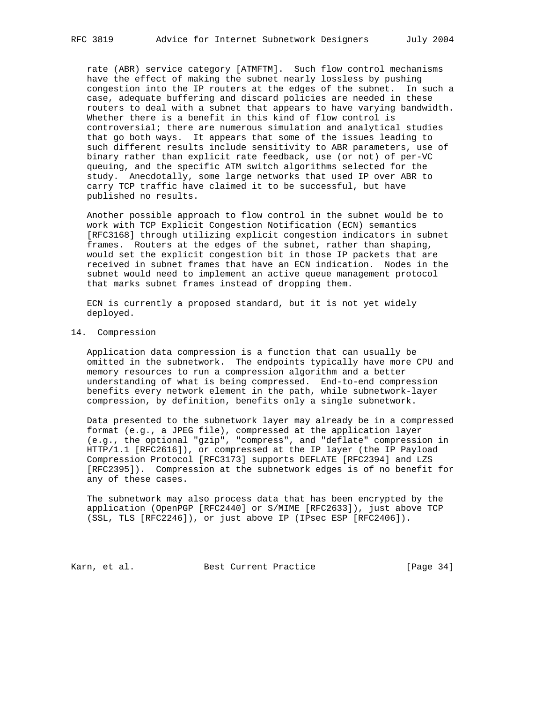rate (ABR) service category [ATMFTM]. Such flow control mechanisms have the effect of making the subnet nearly lossless by pushing congestion into the IP routers at the edges of the subnet. In such a case, adequate buffering and discard policies are needed in these routers to deal with a subnet that appears to have varying bandwidth. Whether there is a benefit in this kind of flow control is controversial; there are numerous simulation and analytical studies that go both ways. It appears that some of the issues leading to such different results include sensitivity to ABR parameters, use of binary rather than explicit rate feedback, use (or not) of per-VC queuing, and the specific ATM switch algorithms selected for the study. Anecdotally, some large networks that used IP over ABR to carry TCP traffic have claimed it to be successful, but have published no results.

 Another possible approach to flow control in the subnet would be to work with TCP Explicit Congestion Notification (ECN) semantics [RFC3168] through utilizing explicit congestion indicators in subnet frames. Routers at the edges of the subnet, rather than shaping, would set the explicit congestion bit in those IP packets that are received in subnet frames that have an ECN indication. Nodes in the subnet would need to implement an active queue management protocol that marks subnet frames instead of dropping them.

 ECN is currently a proposed standard, but it is not yet widely deployed.

#### 14. Compression

 Application data compression is a function that can usually be omitted in the subnetwork. The endpoints typically have more CPU and memory resources to run a compression algorithm and a better understanding of what is being compressed. End-to-end compression benefits every network element in the path, while subnetwork-layer compression, by definition, benefits only a single subnetwork.

 Data presented to the subnetwork layer may already be in a compressed format (e.g., a JPEG file), compressed at the application layer (e.g., the optional "gzip", "compress", and "deflate" compression in HTTP/1.1 [RFC2616]), or compressed at the IP layer (the IP Payload Compression Protocol [RFC3173] supports DEFLATE [RFC2394] and LZS [RFC2395]). Compression at the subnetwork edges is of no benefit for any of these cases.

 The subnetwork may also process data that has been encrypted by the application (OpenPGP [RFC2440] or S/MIME [RFC2633]), just above TCP (SSL, TLS [RFC2246]), or just above IP (IPsec ESP [RFC2406]).

Karn, et al. Sest Current Practice [Page 34]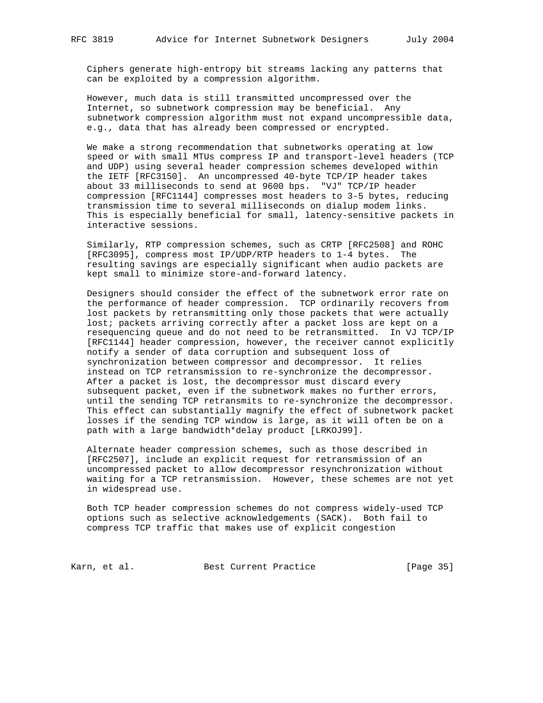Ciphers generate high-entropy bit streams lacking any patterns that can be exploited by a compression algorithm.

 However, much data is still transmitted uncompressed over the Internet, so subnetwork compression may be beneficial. Any subnetwork compression algorithm must not expand uncompressible data, e.g., data that has already been compressed or encrypted.

 We make a strong recommendation that subnetworks operating at low speed or with small MTUs compress IP and transport-level headers (TCP and UDP) using several header compression schemes developed within the IETF [RFC3150]. An uncompressed 40-byte TCP/IP header takes about 33 milliseconds to send at 9600 bps. "VJ" TCP/IP header compression [RFC1144] compresses most headers to 3-5 bytes, reducing transmission time to several milliseconds on dialup modem links. This is especially beneficial for small, latency-sensitive packets in interactive sessions.

 Similarly, RTP compression schemes, such as CRTP [RFC2508] and ROHC [RFC3095], compress most IP/UDP/RTP headers to 1-4 bytes. The resulting savings are especially significant when audio packets are kept small to minimize store-and-forward latency.

 Designers should consider the effect of the subnetwork error rate on the performance of header compression. TCP ordinarily recovers from lost packets by retransmitting only those packets that were actually lost; packets arriving correctly after a packet loss are kept on a resequencing queue and do not need to be retransmitted. In VJ TCP/IP [RFC1144] header compression, however, the receiver cannot explicitly notify a sender of data corruption and subsequent loss of synchronization between compressor and decompressor. It relies instead on TCP retransmission to re-synchronize the decompressor. After a packet is lost, the decompressor must discard every subsequent packet, even if the subnetwork makes no further errors, until the sending TCP retransmits to re-synchronize the decompressor. This effect can substantially magnify the effect of subnetwork packet losses if the sending TCP window is large, as it will often be on a path with a large bandwidth\*delay product [LRKOJ99].

 Alternate header compression schemes, such as those described in [RFC2507], include an explicit request for retransmission of an uncompressed packet to allow decompressor resynchronization without waiting for a TCP retransmission. However, these schemes are not yet in widespread use.

 Both TCP header compression schemes do not compress widely-used TCP options such as selective acknowledgements (SACK). Both fail to compress TCP traffic that makes use of explicit congestion

Karn, et al. Best Current Practice [Page 35]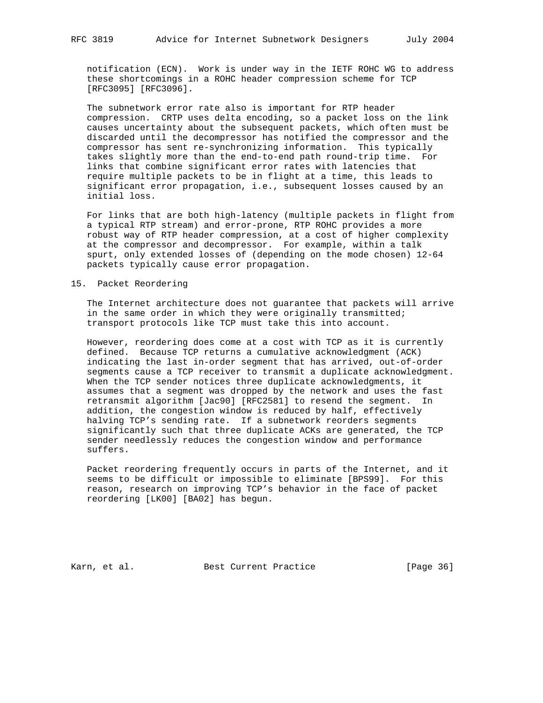notification (ECN). Work is under way in the IETF ROHC WG to address these shortcomings in a ROHC header compression scheme for TCP [RFC3095] [RFC3096].

 The subnetwork error rate also is important for RTP header compression. CRTP uses delta encoding, so a packet loss on the link causes uncertainty about the subsequent packets, which often must be discarded until the decompressor has notified the compressor and the compressor has sent re-synchronizing information. This typically takes slightly more than the end-to-end path round-trip time. For links that combine significant error rates with latencies that require multiple packets to be in flight at a time, this leads to significant error propagation, i.e., subsequent losses caused by an initial loss.

 For links that are both high-latency (multiple packets in flight from a typical RTP stream) and error-prone, RTP ROHC provides a more robust way of RTP header compression, at a cost of higher complexity at the compressor and decompressor. For example, within a talk spurt, only extended losses of (depending on the mode chosen) 12-64 packets typically cause error propagation.

## 15. Packet Reordering

 The Internet architecture does not guarantee that packets will arrive in the same order in which they were originally transmitted; transport protocols like TCP must take this into account.

 However, reordering does come at a cost with TCP as it is currently defined. Because TCP returns a cumulative acknowledgment (ACK) indicating the last in-order segment that has arrived, out-of-order segments cause a TCP receiver to transmit a duplicate acknowledgment. When the TCP sender notices three duplicate acknowledgments, it assumes that a segment was dropped by the network and uses the fast retransmit algorithm [Jac90] [RFC2581] to resend the segment. In addition, the congestion window is reduced by half, effectively halving TCP's sending rate. If a subnetwork reorders segments significantly such that three duplicate ACKs are generated, the TCP sender needlessly reduces the congestion window and performance suffers.

 Packet reordering frequently occurs in parts of the Internet, and it seems to be difficult or impossible to eliminate [BPS99]. For this reason, research on improving TCP's behavior in the face of packet reordering [LK00] [BA02] has begun.

Karn, et al. Sest Current Practice [Page 36]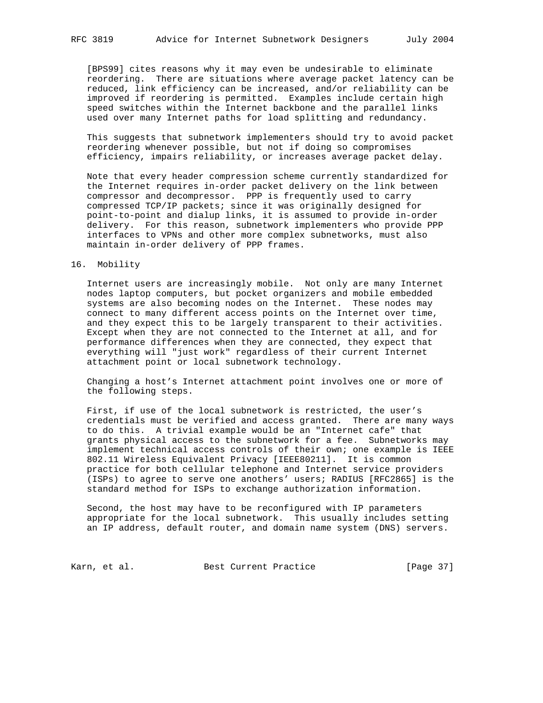[BPS99] cites reasons why it may even be undesirable to eliminate reordering. There are situations where average packet latency can be reduced, link efficiency can be increased, and/or reliability can be improved if reordering is permitted. Examples include certain high speed switches within the Internet backbone and the parallel links used over many Internet paths for load splitting and redundancy.

 This suggests that subnetwork implementers should try to avoid packet reordering whenever possible, but not if doing so compromises efficiency, impairs reliability, or increases average packet delay.

 Note that every header compression scheme currently standardized for the Internet requires in-order packet delivery on the link between compressor and decompressor. PPP is frequently used to carry compressed TCP/IP packets; since it was originally designed for point-to-point and dialup links, it is assumed to provide in-order delivery. For this reason, subnetwork implementers who provide PPP interfaces to VPNs and other more complex subnetworks, must also maintain in-order delivery of PPP frames.

# 16. Mobility

 Internet users are increasingly mobile. Not only are many Internet nodes laptop computers, but pocket organizers and mobile embedded systems are also becoming nodes on the Internet. These nodes may connect to many different access points on the Internet over time, and they expect this to be largely transparent to their activities. Except when they are not connected to the Internet at all, and for performance differences when they are connected, they expect that everything will "just work" regardless of their current Internet attachment point or local subnetwork technology.

 Changing a host's Internet attachment point involves one or more of the following steps.

 First, if use of the local subnetwork is restricted, the user's credentials must be verified and access granted. There are many ways to do this. A trivial example would be an "Internet cafe" that grants physical access to the subnetwork for a fee. Subnetworks may implement technical access controls of their own; one example is IEEE 802.11 Wireless Equivalent Privacy [IEEE80211]. It is common practice for both cellular telephone and Internet service providers (ISPs) to agree to serve one anothers' users; RADIUS [RFC2865] is the standard method for ISPs to exchange authorization information.

 Second, the host may have to be reconfigured with IP parameters appropriate for the local subnetwork. This usually includes setting an IP address, default router, and domain name system (DNS) servers.

Karn, et al. Sest Current Practice [Page 37]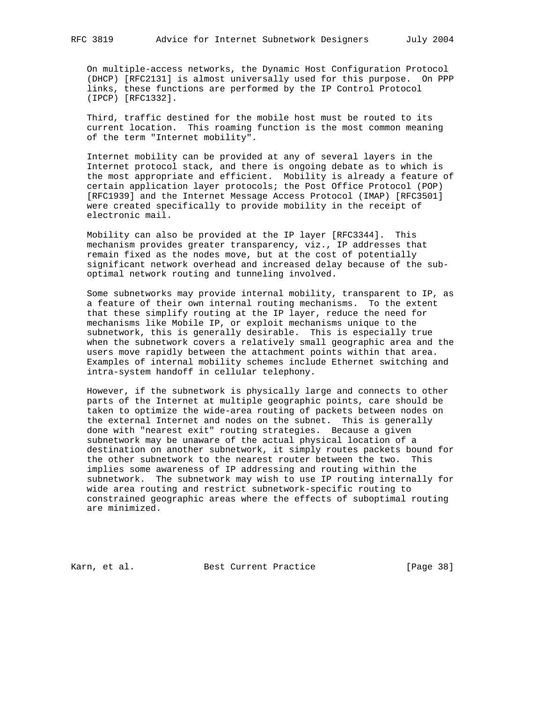On multiple-access networks, the Dynamic Host Configuration Protocol (DHCP) [RFC2131] is almost universally used for this purpose. On PPP links, these functions are performed by the IP Control Protocol (IPCP) [RFC1332].

 Third, traffic destined for the mobile host must be routed to its current location. This roaming function is the most common meaning of the term "Internet mobility".

 Internet mobility can be provided at any of several layers in the Internet protocol stack, and there is ongoing debate as to which is the most appropriate and efficient. Mobility is already a feature of certain application layer protocols; the Post Office Protocol (POP) [RFC1939] and the Internet Message Access Protocol (IMAP) [RFC3501] were created specifically to provide mobility in the receipt of electronic mail.

 Mobility can also be provided at the IP layer [RFC3344]. This mechanism provides greater transparency, viz., IP addresses that remain fixed as the nodes move, but at the cost of potentially significant network overhead and increased delay because of the sub optimal network routing and tunneling involved.

 Some subnetworks may provide internal mobility, transparent to IP, as a feature of their own internal routing mechanisms. To the extent that these simplify routing at the IP layer, reduce the need for mechanisms like Mobile IP, or exploit mechanisms unique to the subnetwork, this is generally desirable. This is especially true when the subnetwork covers a relatively small geographic area and the users move rapidly between the attachment points within that area. Examples of internal mobility schemes include Ethernet switching and intra-system handoff in cellular telephony.

 However, if the subnetwork is physically large and connects to other parts of the Internet at multiple geographic points, care should be taken to optimize the wide-area routing of packets between nodes on the external Internet and nodes on the subnet. This is generally done with "nearest exit" routing strategies. Because a given subnetwork may be unaware of the actual physical location of a destination on another subnetwork, it simply routes packets bound for the other subnetwork to the nearest router between the two. This implies some awareness of IP addressing and routing within the subnetwork. The subnetwork may wish to use IP routing internally for wide area routing and restrict subnetwork-specific routing to constrained geographic areas where the effects of suboptimal routing are minimized.

Karn, et al. Best Current Practice [Page 38]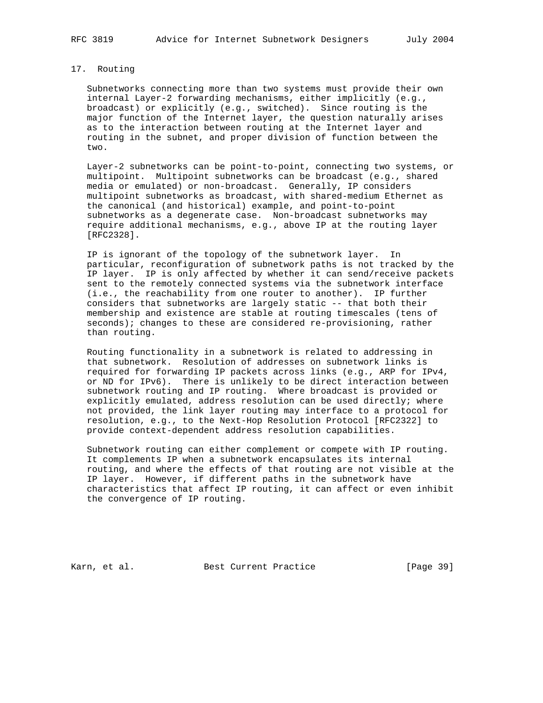# 17. Routing

 Subnetworks connecting more than two systems must provide their own internal Layer-2 forwarding mechanisms, either implicitly (e.g., broadcast) or explicitly (e.g., switched). Since routing is the major function of the Internet layer, the question naturally arises as to the interaction between routing at the Internet layer and routing in the subnet, and proper division of function between the two.

 Layer-2 subnetworks can be point-to-point, connecting two systems, or multipoint. Multipoint subnetworks can be broadcast (e.g., shared media or emulated) or non-broadcast. Generally, IP considers multipoint subnetworks as broadcast, with shared-medium Ethernet as the canonical (and historical) example, and point-to-point subnetworks as a degenerate case. Non-broadcast subnetworks may require additional mechanisms, e.g., above IP at the routing layer [RFC2328].

 IP is ignorant of the topology of the subnetwork layer. In particular, reconfiguration of subnetwork paths is not tracked by the IP layer. IP is only affected by whether it can send/receive packets sent to the remotely connected systems via the subnetwork interface (i.e., the reachability from one router to another). IP further considers that subnetworks are largely static -- that both their membership and existence are stable at routing timescales (tens of seconds); changes to these are considered re-provisioning, rather than routing.

 Routing functionality in a subnetwork is related to addressing in that subnetwork. Resolution of addresses on subnetwork links is required for forwarding IP packets across links (e.g., ARP for IPv4, or ND for IPv6). There is unlikely to be direct interaction between subnetwork routing and IP routing. Where broadcast is provided or explicitly emulated, address resolution can be used directly; where not provided, the link layer routing may interface to a protocol for resolution, e.g., to the Next-Hop Resolution Protocol [RFC2322] to provide context-dependent address resolution capabilities.

 Subnetwork routing can either complement or compete with IP routing. It complements IP when a subnetwork encapsulates its internal routing, and where the effects of that routing are not visible at the IP layer. However, if different paths in the subnetwork have characteristics that affect IP routing, it can affect or even inhibit the convergence of IP routing.

Karn, et al. Sest Current Practice [Page 39]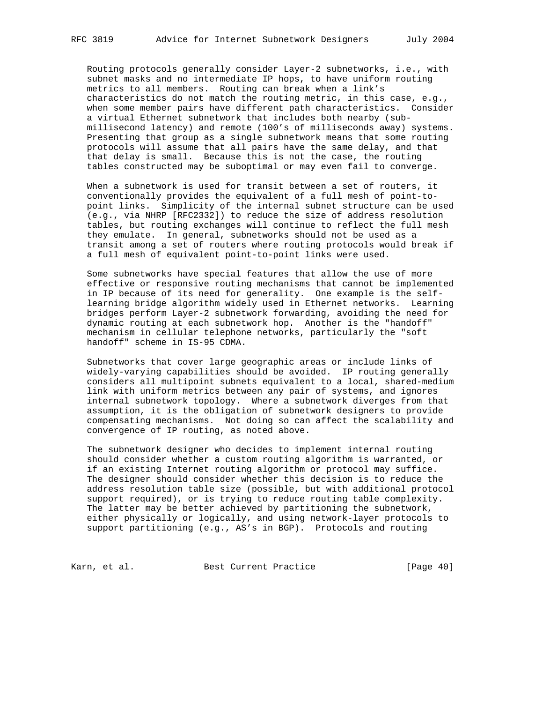Routing protocols generally consider Layer-2 subnetworks, i.e., with subnet masks and no intermediate IP hops, to have uniform routing metrics to all members. Routing can break when a link's characteristics do not match the routing metric, in this case, e.g., when some member pairs have different path characteristics. Consider a virtual Ethernet subnetwork that includes both nearby (sub millisecond latency) and remote (100's of milliseconds away) systems. Presenting that group as a single subnetwork means that some routing protocols will assume that all pairs have the same delay, and that that delay is small. Because this is not the case, the routing tables constructed may be suboptimal or may even fail to converge.

 When a subnetwork is used for transit between a set of routers, it conventionally provides the equivalent of a full mesh of point-to point links. Simplicity of the internal subnet structure can be used (e.g., via NHRP [RFC2332]) to reduce the size of address resolution tables, but routing exchanges will continue to reflect the full mesh they emulate. In general, subnetworks should not be used as a transit among a set of routers where routing protocols would break if a full mesh of equivalent point-to-point links were used.

 Some subnetworks have special features that allow the use of more effective or responsive routing mechanisms that cannot be implemented in IP because of its need for generality. One example is the self learning bridge algorithm widely used in Ethernet networks. Learning bridges perform Layer-2 subnetwork forwarding, avoiding the need for dynamic routing at each subnetwork hop. Another is the "handoff" mechanism in cellular telephone networks, particularly the "soft handoff" scheme in IS-95 CDMA.

 Subnetworks that cover large geographic areas or include links of widely-varying capabilities should be avoided. IP routing generally considers all multipoint subnets equivalent to a local, shared-medium link with uniform metrics between any pair of systems, and ignores internal subnetwork topology. Where a subnetwork diverges from that assumption, it is the obligation of subnetwork designers to provide compensating mechanisms. Not doing so can affect the scalability and convergence of IP routing, as noted above.

 The subnetwork designer who decides to implement internal routing should consider whether a custom routing algorithm is warranted, or if an existing Internet routing algorithm or protocol may suffice. The designer should consider whether this decision is to reduce the address resolution table size (possible, but with additional protocol support required), or is trying to reduce routing table complexity. The latter may be better achieved by partitioning the subnetwork, either physically or logically, and using network-layer protocols to support partitioning (e.g., AS's in BGP). Protocols and routing

Karn, et al. Best Current Practice [Page 40]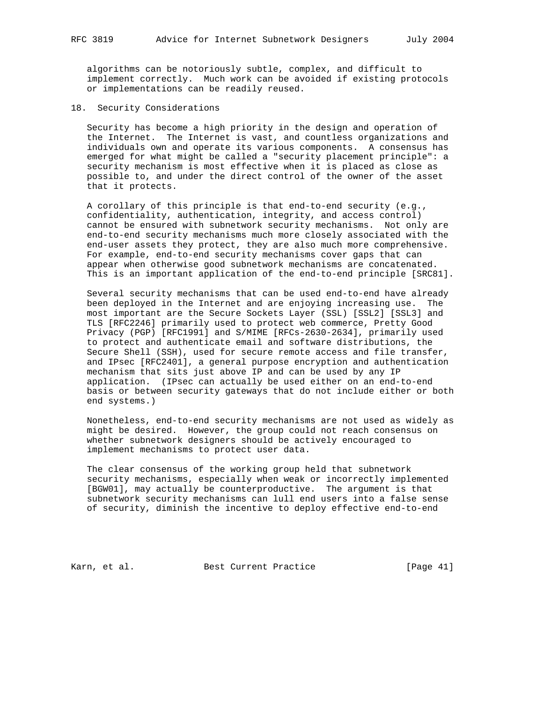algorithms can be notoriously subtle, complex, and difficult to implement correctly. Much work can be avoided if existing protocols or implementations can be readily reused.

18. Security Considerations

 Security has become a high priority in the design and operation of the Internet. The Internet is vast, and countless organizations and individuals own and operate its various components. A consensus has emerged for what might be called a "security placement principle": a security mechanism is most effective when it is placed as close as possible to, and under the direct control of the owner of the asset that it protects.

 A corollary of this principle is that end-to-end security (e.g., confidentiality, authentication, integrity, and access control) cannot be ensured with subnetwork security mechanisms. Not only are end-to-end security mechanisms much more closely associated with the end-user assets they protect, they are also much more comprehensive. For example, end-to-end security mechanisms cover gaps that can appear when otherwise good subnetwork mechanisms are concatenated. This is an important application of the end-to-end principle [SRC81].

 Several security mechanisms that can be used end-to-end have already been deployed in the Internet and are enjoying increasing use. The most important are the Secure Sockets Layer (SSL) [SSL2] [SSL3] and TLS [RFC2246] primarily used to protect web commerce, Pretty Good Privacy (PGP) [RFC1991] and S/MIME [RFCs-2630-2634], primarily used to protect and authenticate email and software distributions, the Secure Shell (SSH), used for secure remote access and file transfer, and IPsec [RFC2401], a general purpose encryption and authentication mechanism that sits just above IP and can be used by any IP application. (IPsec can actually be used either on an end-to-end basis or between security gateways that do not include either or both end systems.)

 Nonetheless, end-to-end security mechanisms are not used as widely as might be desired. However, the group could not reach consensus on whether subnetwork designers should be actively encouraged to implement mechanisms to protect user data.

 The clear consensus of the working group held that subnetwork security mechanisms, especially when weak or incorrectly implemented [BGW01], may actually be counterproductive. The argument is that subnetwork security mechanisms can lull end users into a false sense of security, diminish the incentive to deploy effective end-to-end

Karn, et al. Best Current Practice [Page 41]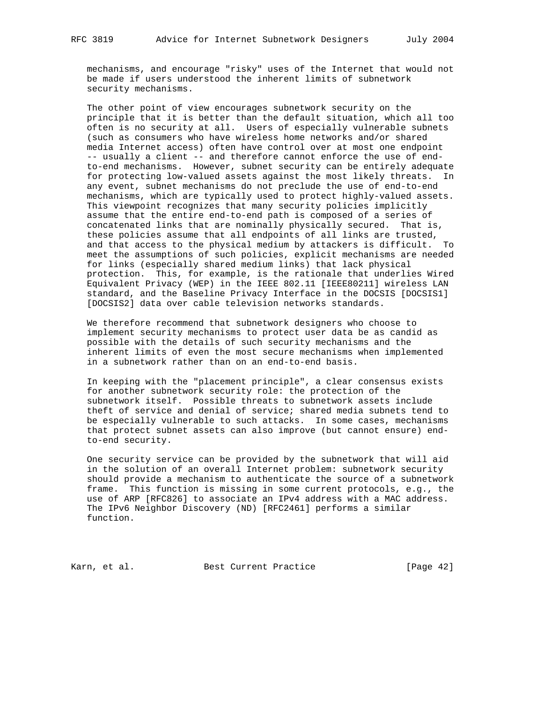mechanisms, and encourage "risky" uses of the Internet that would not be made if users understood the inherent limits of subnetwork security mechanisms.

 The other point of view encourages subnetwork security on the principle that it is better than the default situation, which all too often is no security at all. Users of especially vulnerable subnets (such as consumers who have wireless home networks and/or shared media Internet access) often have control over at most one endpoint -- usually a client -- and therefore cannot enforce the use of end to-end mechanisms. However, subnet security can be entirely adequate for protecting low-valued assets against the most likely threats. In any event, subnet mechanisms do not preclude the use of end-to-end mechanisms, which are typically used to protect highly-valued assets. This viewpoint recognizes that many security policies implicitly assume that the entire end-to-end path is composed of a series of concatenated links that are nominally physically secured. That is, these policies assume that all endpoints of all links are trusted, and that access to the physical medium by attackers is difficult. To meet the assumptions of such policies, explicit mechanisms are needed for links (especially shared medium links) that lack physical protection. This, for example, is the rationale that underlies Wired Equivalent Privacy (WEP) in the IEEE 802.11 [IEEE80211] wireless LAN standard, and the Baseline Privacy Interface in the DOCSIS [DOCSIS1] [DOCSIS2] data over cable television networks standards.

 We therefore recommend that subnetwork designers who choose to implement security mechanisms to protect user data be as candid as possible with the details of such security mechanisms and the inherent limits of even the most secure mechanisms when implemented in a subnetwork rather than on an end-to-end basis.

 In keeping with the "placement principle", a clear consensus exists for another subnetwork security role: the protection of the subnetwork itself. Possible threats to subnetwork assets include theft of service and denial of service; shared media subnets tend to be especially vulnerable to such attacks. In some cases, mechanisms that protect subnet assets can also improve (but cannot ensure) end to-end security.

 One security service can be provided by the subnetwork that will aid in the solution of an overall Internet problem: subnetwork security should provide a mechanism to authenticate the source of a subnetwork frame. This function is missing in some current protocols, e.g., the use of ARP [RFC826] to associate an IPv4 address with a MAC address. The IPv6 Neighbor Discovery (ND) [RFC2461] performs a similar function.

Karn, et al. Best Current Practice [Page 42]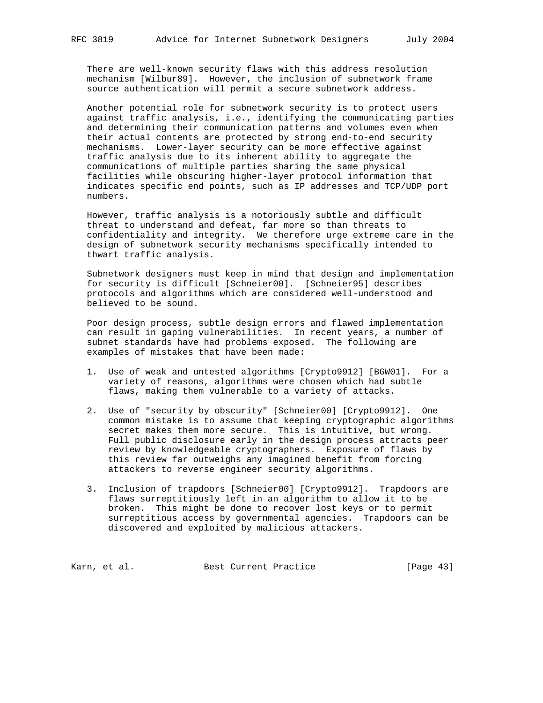There are well-known security flaws with this address resolution mechanism [Wilbur89]. However, the inclusion of subnetwork frame source authentication will permit a secure subnetwork address.

 Another potential role for subnetwork security is to protect users against traffic analysis, i.e., identifying the communicating parties and determining their communication patterns and volumes even when their actual contents are protected by strong end-to-end security mechanisms. Lower-layer security can be more effective against traffic analysis due to its inherent ability to aggregate the communications of multiple parties sharing the same physical facilities while obscuring higher-layer protocol information that indicates specific end points, such as IP addresses and TCP/UDP port numbers.

 However, traffic analysis is a notoriously subtle and difficult threat to understand and defeat, far more so than threats to confidentiality and integrity. We therefore urge extreme care in the design of subnetwork security mechanisms specifically intended to thwart traffic analysis.

 Subnetwork designers must keep in mind that design and implementation for security is difficult [Schneier00]. [Schneier95] describes protocols and algorithms which are considered well-understood and believed to be sound.

 Poor design process, subtle design errors and flawed implementation can result in gaping vulnerabilities. In recent years, a number of subnet standards have had problems exposed. The following are examples of mistakes that have been made:

- 1. Use of weak and untested algorithms [Crypto9912] [BGW01]. For a variety of reasons, algorithms were chosen which had subtle flaws, making them vulnerable to a variety of attacks.
- 2. Use of "security by obscurity" [Schneier00] [Crypto9912]. One common mistake is to assume that keeping cryptographic algorithms secret makes them more secure. This is intuitive, but wrong. Full public disclosure early in the design process attracts peer review by knowledgeable cryptographers. Exposure of flaws by this review far outweighs any imagined benefit from forcing attackers to reverse engineer security algorithms.
- 3. Inclusion of trapdoors [Schneier00] [Crypto9912]. Trapdoors are flaws surreptitiously left in an algorithm to allow it to be broken. This might be done to recover lost keys or to permit surreptitious access by governmental agencies. Trapdoors can be discovered and exploited by malicious attackers.

Karn, et al. Sest Current Practice [Page 43]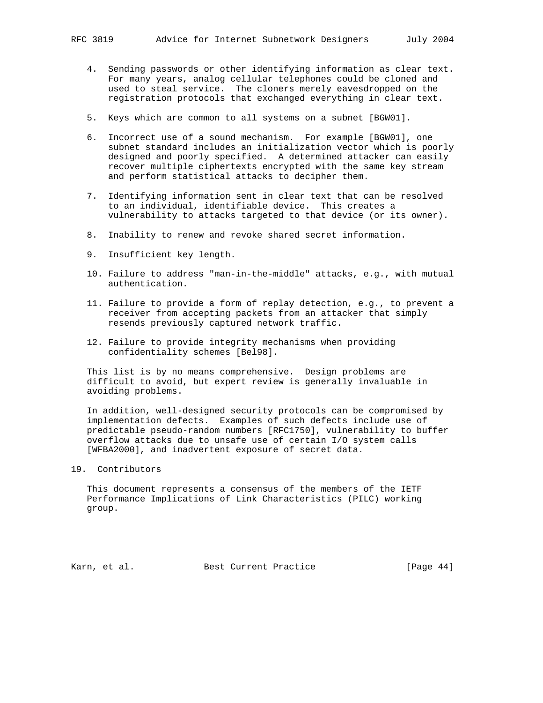- 4. Sending passwords or other identifying information as clear text. For many years, analog cellular telephones could be cloned and used to steal service. The cloners merely eavesdropped on the registration protocols that exchanged everything in clear text.
- 5. Keys which are common to all systems on a subnet [BGW01].
- 6. Incorrect use of a sound mechanism. For example [BGW01], one subnet standard includes an initialization vector which is poorly designed and poorly specified. A determined attacker can easily recover multiple ciphertexts encrypted with the same key stream and perform statistical attacks to decipher them.
- 7. Identifying information sent in clear text that can be resolved to an individual, identifiable device. This creates a vulnerability to attacks targeted to that device (or its owner).
- 8. Inability to renew and revoke shared secret information.
- 9. Insufficient key length.
- 10. Failure to address "man-in-the-middle" attacks, e.g., with mutual authentication.
- 11. Failure to provide a form of replay detection, e.g., to prevent a receiver from accepting packets from an attacker that simply resends previously captured network traffic.
- 12. Failure to provide integrity mechanisms when providing confidentiality schemes [Bel98].

 This list is by no means comprehensive. Design problems are difficult to avoid, but expert review is generally invaluable in avoiding problems.

 In addition, well-designed security protocols can be compromised by implementation defects. Examples of such defects include use of predictable pseudo-random numbers [RFC1750], vulnerability to buffer overflow attacks due to unsafe use of certain I/O system calls [WFBA2000], and inadvertent exposure of secret data.

# 19. Contributors

 This document represents a consensus of the members of the IETF Performance Implications of Link Characteristics (PILC) working group.

Karn, et al. Best Current Practice [Page 44]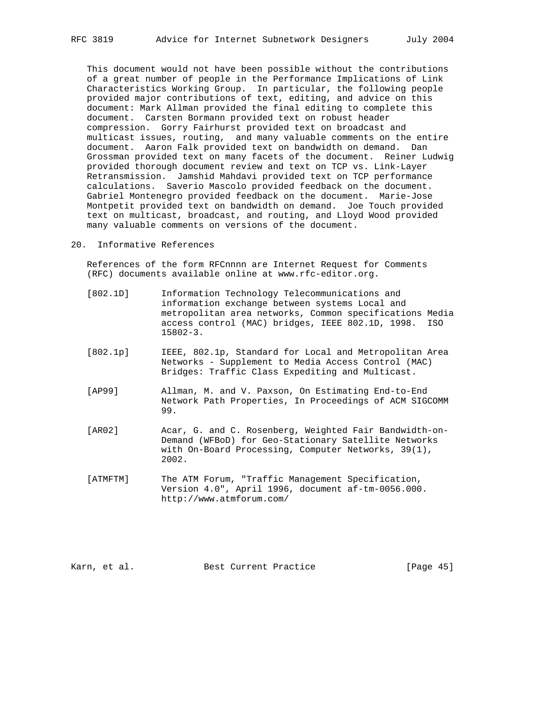This document would not have been possible without the contributions of a great number of people in the Performance Implications of Link Characteristics Working Group. In particular, the following people provided major contributions of text, editing, and advice on this document: Mark Allman provided the final editing to complete this document. Carsten Bormann provided text on robust header compression. Gorry Fairhurst provided text on broadcast and multicast issues, routing, and many valuable comments on the entire document. Aaron Falk provided text on bandwidth on demand. Dan Grossman provided text on many facets of the document. Reiner Ludwig provided thorough document review and text on TCP vs. Link-Layer Retransmission. Jamshid Mahdavi provided text on TCP performance calculations. Saverio Mascolo provided feedback on the document. Gabriel Montenegro provided feedback on the document. Marie-Jose Montpetit provided text on bandwidth on demand. Joe Touch provided text on multicast, broadcast, and routing, and Lloyd Wood provided many valuable comments on versions of the document.

# 20. Informative References

 References of the form RFCnnnn are Internet Request for Comments (RFC) documents available online at www.rfc-editor.org.

- [802.1D] Information Technology Telecommunications and information exchange between systems Local and metropolitan area networks, Common specifications Media access control (MAC) bridges, IEEE 802.1D, 1998. ISO 15802-3.
- [802.1p] IEEE, 802.1p, Standard for Local and Metropolitan Area Networks - Supplement to Media Access Control (MAC) Bridges: Traffic Class Expediting and Multicast.
- [AP99] Allman, M. and V. Paxson, On Estimating End-to-End Network Path Properties, In Proceedings of ACM SIGCOMM 99.
- [AR02] Acar, G. and C. Rosenberg, Weighted Fair Bandwidth-on- Demand (WFBoD) for Geo-Stationary Satellite Networks with On-Board Processing, Computer Networks, 39(1), 2002.
- [ATMFTM] The ATM Forum, "Traffic Management Specification, Version 4.0", April 1996, document af-tm-0056.000. http://www.atmforum.com/

Karn, et al. Best Current Practice [Page 45]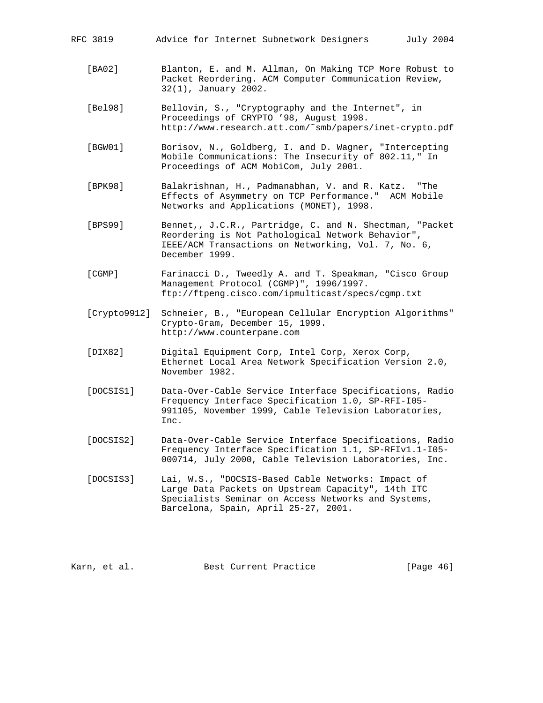| RFC 3819 |  |  |  | Advice for Internet Subnetwork Designers |  |  |
|----------|--|--|--|------------------------------------------|--|--|
|----------|--|--|--|------------------------------------------|--|--|

- [BA02] Blanton, E. and M. Allman, On Making TCP More Robust to Packet Reordering. ACM Computer Communication Review, 32(1), January 2002.
- [Bel98] Bellovin, S., "Cryptography and the Internet", in Proceedings of CRYPTO '98, August 1998. http://www.research.att.com/˜smb/papers/inet-crypto.pdf
- [BGW01] Borisov, N., Goldberg, I. and D. Wagner, "Intercepting Mobile Communications: The Insecurity of 802.11," In Proceedings of ACM MobiCom, July 2001.
- [BPK98] Balakrishnan, H., Padmanabhan, V. and R. Katz. "The Effects of Asymmetry on TCP Performance." ACM Mobile Networks and Applications (MONET), 1998.
- [BPS99] Bennet,, J.C.R., Partridge, C. and N. Shectman, "Packet Reordering is Not Pathological Network Behavior", IEEE/ACM Transactions on Networking, Vol. 7, No. 6, December 1999.
- [CGMP] Farinacci D., Tweedly A. and T. Speakman, "Cisco Group Management Protocol (CGMP)", 1996/1997. ftp://ftpeng.cisco.com/ipmulticast/specs/cgmp.txt
- [Crypto9912] Schneier, B., "European Cellular Encryption Algorithms" Crypto-Gram, December 15, 1999. http://www.counterpane.com
- [DIX82] Digital Equipment Corp, Intel Corp, Xerox Corp, Ethernet Local Area Network Specification Version 2.0, November 1982.
- [DOCSIS1] Data-Over-Cable Service Interface Specifications, Radio Frequency Interface Specification 1.0, SP-RFI-I05- 991105, November 1999, Cable Television Laboratories, Inc.
- [DOCSIS2] Data-Over-Cable Service Interface Specifications, Radio Frequency Interface Specification 1.1, SP-RFIv1.1-I05- 000714, July 2000, Cable Television Laboratories, Inc.
- [DOCSIS3] Lai, W.S., "DOCSIS-Based Cable Networks: Impact of Large Data Packets on Upstream Capacity", 14th ITC Specialists Seminar on Access Networks and Systems, Barcelona, Spain, April 25-27, 2001.

Karn, et al. Best Current Practice [Page 46]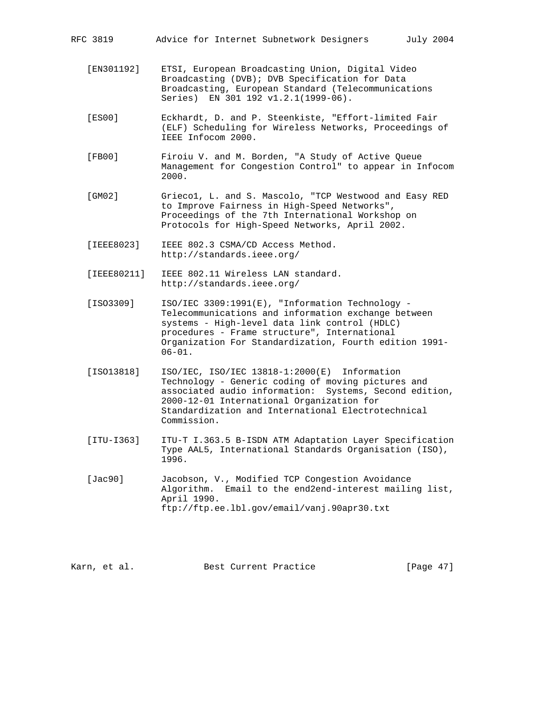- [EN301192] ETSI, European Broadcasting Union, Digital Video Broadcasting (DVB); DVB Specification for Data Broadcasting, European Standard (Telecommunications Series) EN 301 192 v1.2.1(1999-06).
- [ES00] Eckhardt, D. and P. Steenkiste, "Effort-limited Fair (ELF) Scheduling for Wireless Networks, Proceedings of IEEE Infocom 2000.
- [FB00] Firoiu V. and M. Borden, "A Study of Active Queue Management for Congestion Control" to appear in Infocom 2000.
- [GM02] Grieco1, L. and S. Mascolo, "TCP Westwood and Easy RED to Improve Fairness in High-Speed Networks", Proceedings of the 7th International Workshop on Protocols for High-Speed Networks, April 2002.
- [IEEE8023] IEEE 802.3 CSMA/CD Access Method. http://standards.ieee.org/
- [IEEE80211] IEEE 802.11 Wireless LAN standard. http://standards.ieee.org/
- [ISO3309] ISO/IEC 3309:1991(E), "Information Technology Telecommunications and information exchange between systems - High-level data link control (HDLC) procedures - Frame structure", International Organization For Standardization, Fourth edition 1991-  $06 - 01$ .
- [ISO13818] ISO/IEC, ISO/IEC 13818-1:2000(E) Information Technology - Generic coding of moving pictures and associated audio information: Systems, Second edition, 2000-12-01 International Organization for Standardization and International Electrotechnical Commission.
- [ITU-I363] ITU-T I.363.5 B-ISDN ATM Adaptation Layer Specification Type AAL5, International Standards Organisation (ISO), 1996.
- [Jac90] Jacobson, V., Modified TCP Congestion Avoidance Algorithm. Email to the end2end-interest mailing list, April 1990. ftp://ftp.ee.lbl.gov/email/vanj.90apr30.txt

Karn, et al. Best Current Practice [Page 47]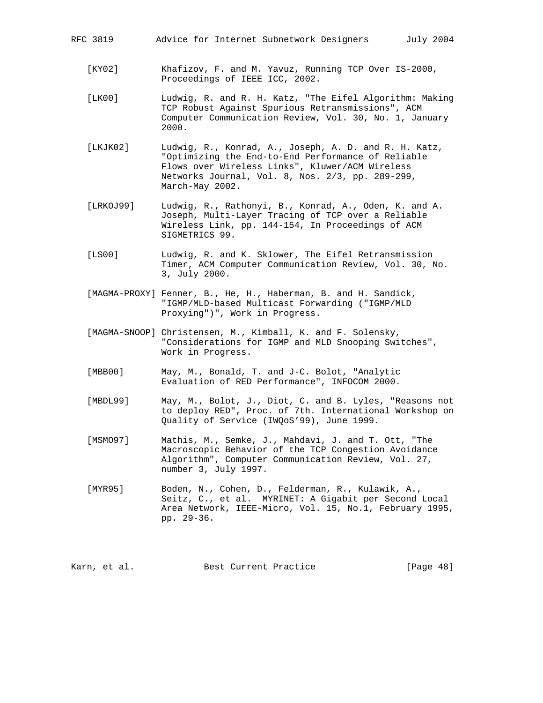|  | RFC 3819 |  |  |  | Advice for Internet Subnetwork Designers |  |  |
|--|----------|--|--|--|------------------------------------------|--|--|
|--|----------|--|--|--|------------------------------------------|--|--|

- [KY02] Khafizov, F. and M. Yavuz, Running TCP Over IS-2000, Proceedings of IEEE ICC, 2002.
- [LK00] Ludwig, R. and R. H. Katz, "The Eifel Algorithm: Making TCP Robust Against Spurious Retransmissions", ACM Computer Communication Review, Vol. 30, No. 1, January 2000.
- [LKJK02] Ludwig, R., Konrad, A., Joseph, A. D. and R. H. Katz, "Optimizing the End-to-End Performance of Reliable Flows over Wireless Links", Kluwer/ACM Wireless Networks Journal, Vol. 8, Nos. 2/3, pp. 289-299, March-May 2002.
- [LRKOJ99] Ludwig, R., Rathonyi, B., Konrad, A., Oden, K. and A. Joseph, Multi-Layer Tracing of TCP over a Reliable Wireless Link, pp. 144-154, In Proceedings of ACM SIGMETRICS 99.
- [LS00] Ludwig, R. and K. Sklower, The Eifel Retransmission Timer, ACM Computer Communication Review, Vol. 30, No. 3, July 2000.
- [MAGMA-PROXY] Fenner, B., He, H., Haberman, B. and H. Sandick, "IGMP/MLD-based Multicast Forwarding ("IGMP/MLD Proxying")", Work in Progress.
- [MAGMA-SNOOP] Christensen, M., Kimball, K. and F. Solensky, "Considerations for IGMP and MLD Snooping Switches", Work in Progress.
- [MBB00] May, M., Bonald, T. and J-C. Bolot, "Analytic Evaluation of RED Performance", INFOCOM 2000.
- [MBDL99] May, M., Bolot, J., Diot, C. and B. Lyles, "Reasons not to deploy RED", Proc. of 7th. International Workshop on Quality of Service (IWQoS'99), June 1999.
- [MSMO97] Mathis, M., Semke, J., Mahdavi, J. and T. Ott, "The Macroscopic Behavior of the TCP Congestion Avoidance Algorithm", Computer Communication Review, Vol. 27, number 3, July 1997.
- [MYR95] Boden, N., Cohen, D., Felderman, R., Kulawik, A., Seitz, C., et al. MYRINET: A Gigabit per Second Local Area Network, IEEE-Micro, Vol. 15, No.1, February 1995, pp. 29-36.

Karn, et al. Best Current Practice [Page 48]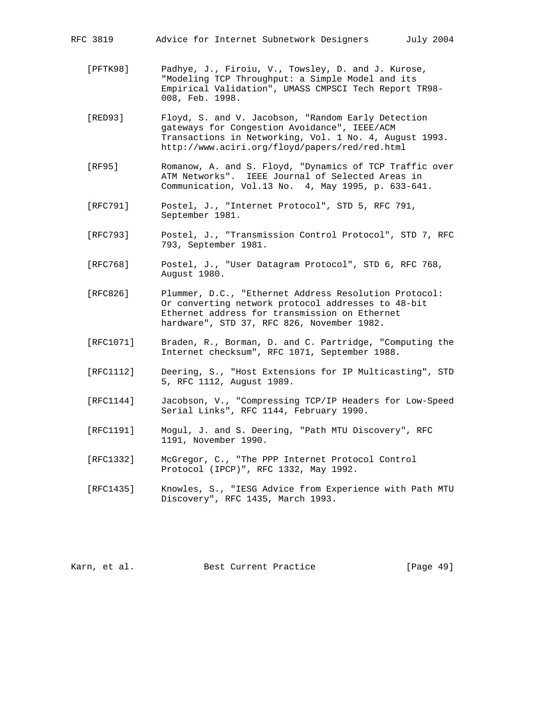RFC 3819 Advice for Internet Subnetwork Designers July 2004

- [PFTK98] Padhye, J., Firoiu, V., Towsley, D. and J. Kurose, "Modeling TCP Throughput: a Simple Model and its Empirical Validation", UMASS CMPSCI Tech Report TR98- 008, Feb. 1998.
- [RED93] Floyd, S. and V. Jacobson, "Random Early Detection gateways for Congestion Avoidance", IEEE/ACM Transactions in Networking, Vol. 1 No. 4, August 1993. http://www.aciri.org/floyd/papers/red/red.html
- [RF95] Romanow, A. and S. Floyd, "Dynamics of TCP Traffic over ATM Networks". IEEE Journal of Selected Areas in Communication, Vol.13 No. 4, May 1995, p. 633-641.
- [RFC791] Postel, J., "Internet Protocol", STD 5, RFC 791, September 1981.
- [RFC793] Postel, J., "Transmission Control Protocol", STD 7, RFC 793, September 1981.
- [RFC768] Postel, J., "User Datagram Protocol", STD 6, RFC 768, August 1980.
- [RFC826] Plummer, D.C., "Ethernet Address Resolution Protocol: Or converting network protocol addresses to 48-bit Ethernet address for transmission on Ethernet hardware", STD 37, RFC 826, November 1982.
- [RFC1071] Braden, R., Borman, D. and C. Partridge, "Computing the Internet checksum", RFC 1071, September 1988.
- [RFC1112] Deering, S., "Host Extensions for IP Multicasting", STD 5, RFC 1112, August 1989.
- [RFC1144] Jacobson, V., "Compressing TCP/IP Headers for Low-Speed Serial Links", RFC 1144, February 1990.
- [RFC1191] Mogul, J. and S. Deering, "Path MTU Discovery", RFC 1191, November 1990.
- [RFC1332] McGregor, C., "The PPP Internet Protocol Control Protocol (IPCP)", RFC 1332, May 1992.
- [RFC1435] Knowles, S., "IESG Advice from Experience with Path MTU Discovery", RFC 1435, March 1993.

Karn, et al. Best Current Practice [Page 49]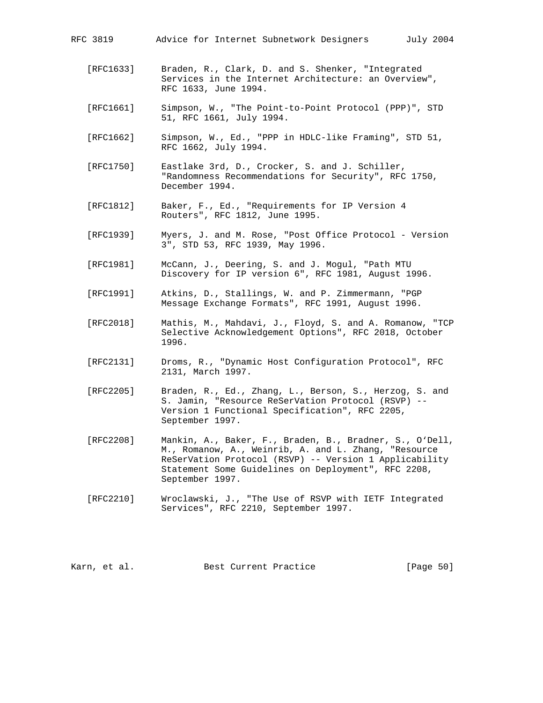| RFC 3819  | Advice for Internet Subnetwork Designers                                                                  | July 2004 |
|-----------|-----------------------------------------------------------------------------------------------------------|-----------|
| [RFC1633] | Braden, R., Clark, D. and S. Shenker, "Integrated<br>Services in the Internet Architecture: an Overview", |           |

 [RFC1661] Simpson, W., "The Point-to-Point Protocol (PPP)", STD 51, RFC 1661, July 1994.

RFC 1633, June 1994.

- [RFC1662] Simpson, W., Ed., "PPP in HDLC-like Framing", STD 51, RFC 1662, July 1994.
- [RFC1750] Eastlake 3rd, D., Crocker, S. and J. Schiller, "Randomness Recommendations for Security", RFC 1750, December 1994.
- [RFC1812] Baker, F., Ed., "Requirements for IP Version 4 Routers", RFC 1812, June 1995.
- [RFC1939] Myers, J. and M. Rose, "Post Office Protocol Version 3", STD 53, RFC 1939, May 1996.
- [RFC1981] McCann, J., Deering, S. and J. Mogul, "Path MTU Discovery for IP version 6", RFC 1981, August 1996.
- [RFC1991] Atkins, D., Stallings, W. and P. Zimmermann, "PGP Message Exchange Formats", RFC 1991, August 1996.
- [RFC2018] Mathis, M., Mahdavi, J., Floyd, S. and A. Romanow, "TCP Selective Acknowledgement Options", RFC 2018, October 1996.
- [RFC2131] Droms, R., "Dynamic Host Configuration Protocol", RFC 2131, March 1997.
- [RFC2205] Braden, R., Ed., Zhang, L., Berson, S., Herzog, S. and S. Jamin, "Resource ReSerVation Protocol (RSVP) -- Version 1 Functional Specification", RFC 2205, September 1997.
- [RFC2208] Mankin, A., Baker, F., Braden, B., Bradner, S., O'Dell, M., Romanow, A., Weinrib, A. and L. Zhang, "Resource ReSerVation Protocol (RSVP) -- Version 1 Applicability Statement Some Guidelines on Deployment", RFC 2208, September 1997.
- [RFC2210] Wroclawski, J., "The Use of RSVP with IETF Integrated Services", RFC 2210, September 1997.

Karn, et al. Best Current Practice [Page 50]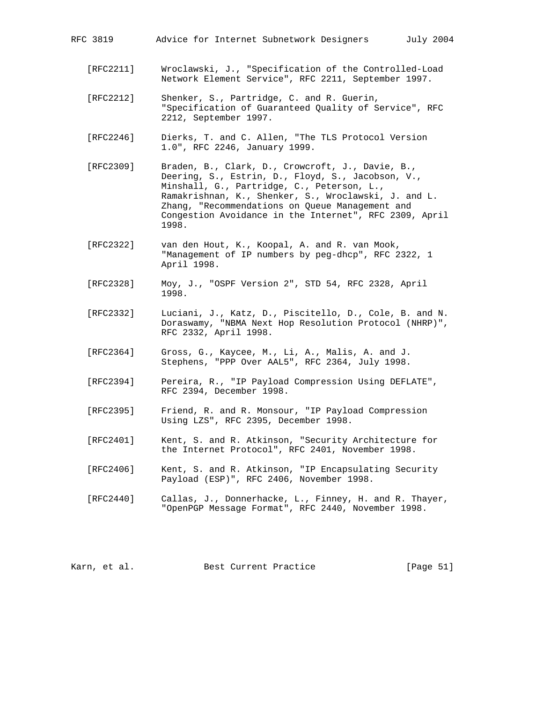| RFC 3819 |  |  |  |  | Advice for Internet Subnetwork Designers |  |  |
|----------|--|--|--|--|------------------------------------------|--|--|
|----------|--|--|--|--|------------------------------------------|--|--|

- [RFC2211] Wroclawski, J., "Specification of the Controlled-Load Network Element Service", RFC 2211, September 1997.
- [RFC2212] Shenker, S., Partridge, C. and R. Guerin, "Specification of Guaranteed Quality of Service", RFC 2212, September 1997.
- [RFC2246] Dierks, T. and C. Allen, "The TLS Protocol Version 1.0", RFC 2246, January 1999.
- [RFC2309] Braden, B., Clark, D., Crowcroft, J., Davie, B., Deering, S., Estrin, D., Floyd, S., Jacobson, V., Minshall, G., Partridge, C., Peterson, L., Ramakrishnan, K., Shenker, S., Wroclawski, J. and L. Zhang, "Recommendations on Queue Management and Congestion Avoidance in the Internet", RFC 2309, April 1998.
- [RFC2322] van den Hout, K., Koopal, A. and R. van Mook, "Management of IP numbers by peg-dhcp", RFC 2322, 1 April 1998.
- [RFC2328] Moy, J., "OSPF Version 2", STD 54, RFC 2328, April 1998.
- [RFC2332] Luciani, J., Katz, D., Piscitello, D., Cole, B. and N. Doraswamy, "NBMA Next Hop Resolution Protocol (NHRP)", RFC 2332, April 1998.
- [RFC2364] Gross, G., Kaycee, M., Li, A., Malis, A. and J. Stephens, "PPP Over AAL5", RFC 2364, July 1998.
- [RFC2394] Pereira, R., "IP Payload Compression Using DEFLATE", RFC 2394, December 1998.
- [RFC2395] Friend, R. and R. Monsour, "IP Payload Compression Using LZS", RFC 2395, December 1998.
- [RFC2401] Kent, S. and R. Atkinson, "Security Architecture for the Internet Protocol", RFC 2401, November 1998.
- [RFC2406] Kent, S. and R. Atkinson, "IP Encapsulating Security Payload (ESP)", RFC 2406, November 1998.
- [RFC2440] Callas, J., Donnerhacke, L., Finney, H. and R. Thayer, "OpenPGP Message Format", RFC 2440, November 1998.

Karn, et al. Best Current Practice [Page 51]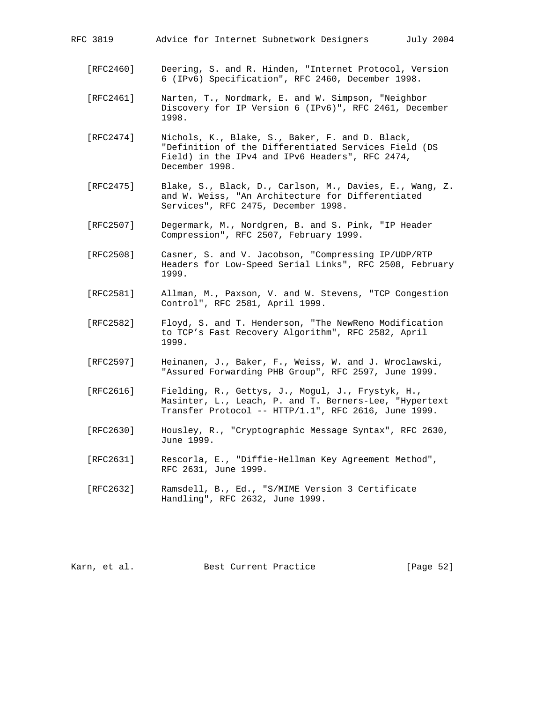| RFC 3819 |  |  |  | Advice for Internet Subnetwork Designers |  |  |
|----------|--|--|--|------------------------------------------|--|--|
|----------|--|--|--|------------------------------------------|--|--|

- [RFC2460] Deering, S. and R. Hinden, "Internet Protocol, Version 6 (IPv6) Specification", RFC 2460, December 1998.
- [RFC2461] Narten, T., Nordmark, E. and W. Simpson, "Neighbor Discovery for IP Version 6 (IPv6)", RFC 2461, December 1998.
- [RFC2474] Nichols, K., Blake, S., Baker, F. and D. Black, "Definition of the Differentiated Services Field (DS Field) in the IPv4 and IPv6 Headers", RFC 2474, December 1998.
- [RFC2475] Blake, S., Black, D., Carlson, M., Davies, E., Wang, Z. and W. Weiss, "An Architecture for Differentiated Services", RFC 2475, December 1998.
- [RFC2507] Degermark, M., Nordgren, B. and S. Pink, "IP Header Compression", RFC 2507, February 1999.
- [RFC2508] Casner, S. and V. Jacobson, "Compressing IP/UDP/RTP Headers for Low-Speed Serial Links", RFC 2508, February 1999.
- [RFC2581] Allman, M., Paxson, V. and W. Stevens, "TCP Congestion Control", RFC 2581, April 1999.
- [RFC2582] Floyd, S. and T. Henderson, "The NewReno Modification to TCP's Fast Recovery Algorithm", RFC 2582, April 1999.
- [RFC2597] Heinanen, J., Baker, F., Weiss, W. and J. Wroclawski, "Assured Forwarding PHB Group", RFC 2597, June 1999.
- [RFC2616] Fielding, R., Gettys, J., Mogul, J., Frystyk, H., Masinter, L., Leach, P. and T. Berners-Lee, "Hypertext Transfer Protocol -- HTTP/1.1", RFC 2616, June 1999.
- [RFC2630] Housley, R., "Cryptographic Message Syntax", RFC 2630, June 1999.
- [RFC2631] Rescorla, E., "Diffie-Hellman Key Agreement Method", RFC 2631, June 1999.
- [RFC2632] Ramsdell, B., Ed., "S/MIME Version 3 Certificate Handling", RFC 2632, June 1999.

Karn, et al. Best Current Practice [Page 52]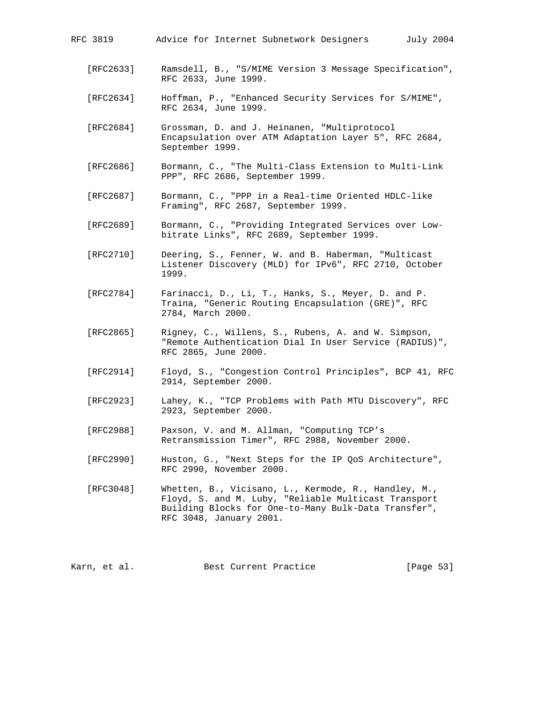| RFC 3819  | July 2004<br>Advice for Internet Subnetwork Designers                                                                         |
|-----------|-------------------------------------------------------------------------------------------------------------------------------|
| [RFC2633] | Ramsdell, B., "S/MIME Version 3 Message Specification",<br>RFC 2633, June 1999.                                               |
| [RFC2634] | Hoffman, P., "Enhanced Security Services for S/MIME",<br>RFC 2634, June 1999.                                                 |
| [RFC2684] | Grossman, D. and J. Heinanen, "Multiprotocol<br>Encapsulation over ATM Adaptation Layer 5", RFC 2684,<br>September 1999.      |
| [RFC2686] | Bormann, C., "The Multi-Class Extension to Multi-Link<br>PPP", RFC 2686, September 1999.                                      |
| [RFC2687] | Bormann, C., "PPP in a Real-time Oriented HDLC-like<br>Framing", RFC 2687, September 1999.                                    |
| [RFC2689] | Bormann, C., "Providing Integrated Services over Low-<br>bitrate Links", RFC 2689, September 1999.                            |
| [RFC2710] | Deering, S., Fenner, W. and B. Haberman, "Multicast<br>Listener Discovery (MLD) for IPv6", RFC 2710, October<br>1999.         |
| [RFC2784] | Farinacci, D., Li, T., Hanks, S., Meyer, D. and P.<br>Traina, "Generic Routing Encapsulation (GRE)", RFC<br>2784, March 2000. |

- [RFC2865] Rigney, C., Willens, S., Rubens, A. and W. Simpson, "Remote Authentication Dial In User Service (RADIUS)", RFC 2865, June 2000.
- [RFC2914] Floyd, S., "Congestion Control Principles", BCP 41, RFC 2914, September 2000.
- [RFC2923] Lahey, K., "TCP Problems with Path MTU Discovery", RFC 2923, September 2000.
- [RFC2988] Paxson, V. and M. Allman, "Computing TCP's Retransmission Timer", RFC 2988, November 2000.
- [RFC2990] Huston, G., "Next Steps for the IP QoS Architecture", RFC 2990, November 2000.
- [RFC3048] Whetten, B., Vicisano, L., Kermode, R., Handley, M., Floyd, S. and M. Luby, "Reliable Multicast Transport Building Blocks for One-to-Many Bulk-Data Transfer", RFC 3048, January 2001.

Karn, et al. Best Current Practice [Page 53]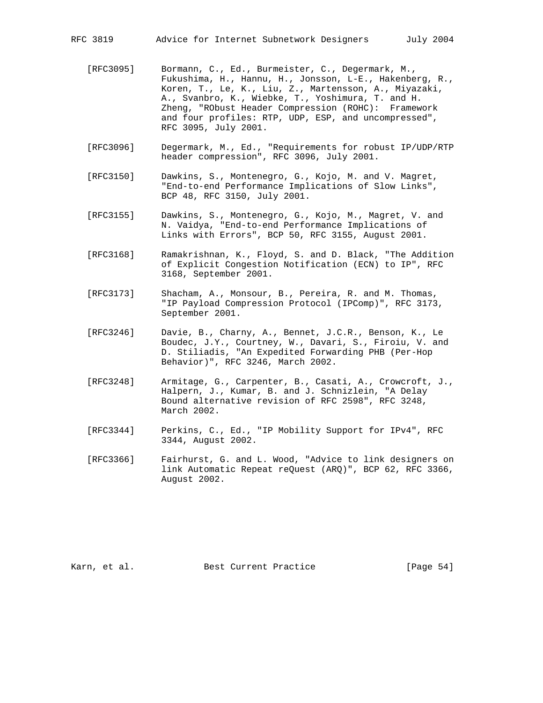- [RFC3095] Bormann, C., Ed., Burmeister, C., Degermark, M., Fukushima, H., Hannu, H., Jonsson, L-E., Hakenberg, R., Koren, T., Le, K., Liu, Z., Martensson, A., Miyazaki, A., Svanbro, K., Wiebke, T., Yoshimura, T. and H. Zheng, "RObust Header Compression (ROHC): Framework and four profiles: RTP, UDP, ESP, and uncompressed", RFC 3095, July 2001.
- [RFC3096] Degermark, M., Ed., "Requirements for robust IP/UDP/RTP header compression", RFC 3096, July 2001.
- [RFC3150] Dawkins, S., Montenegro, G., Kojo, M. and V. Magret, "End-to-end Performance Implications of Slow Links", BCP 48, RFC 3150, July 2001.
- [RFC3155] Dawkins, S., Montenegro, G., Kojo, M., Magret, V. and N. Vaidya, "End-to-end Performance Implications of Links with Errors", BCP 50, RFC 3155, August 2001.
- [RFC3168] Ramakrishnan, K., Floyd, S. and D. Black, "The Addition of Explicit Congestion Notification (ECN) to IP", RFC 3168, September 2001.
- [RFC3173] Shacham, A., Monsour, B., Pereira, R. and M. Thomas, "IP Payload Compression Protocol (IPComp)", RFC 3173, September 2001.
- [RFC3246] Davie, B., Charny, A., Bennet, J.C.R., Benson, K., Le Boudec, J.Y., Courtney, W., Davari, S., Firoiu, V. and D. Stiliadis, "An Expedited Forwarding PHB (Per-Hop Behavior)", RFC 3246, March 2002.
- [RFC3248] Armitage, G., Carpenter, B., Casati, A., Crowcroft, J., Halpern, J., Kumar, B. and J. Schnizlein, "A Delay Bound alternative revision of RFC 2598", RFC 3248, March 2002.
- [RFC3344] Perkins, C., Ed., "IP Mobility Support for IPv4", RFC 3344, August 2002.
- [RFC3366] Fairhurst, G. and L. Wood, "Advice to link designers on link Automatic Repeat reQuest (ARQ)", BCP 62, RFC 3366, August 2002.

Karn, et al. Sest Current Practice [Page 54]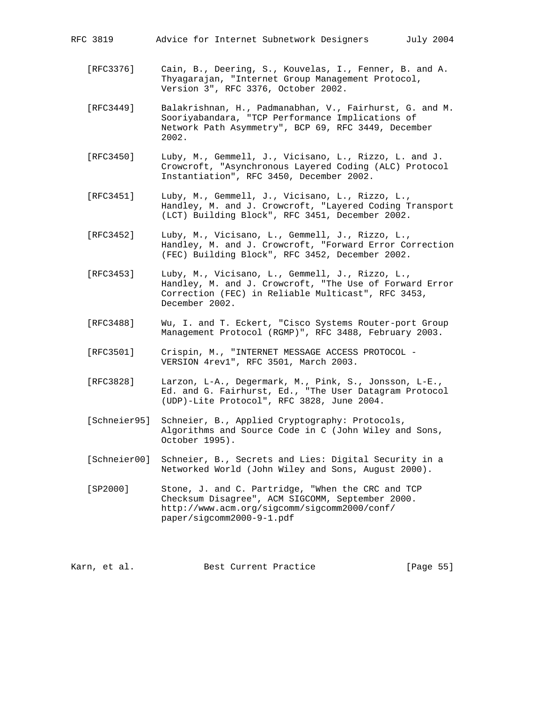- [RFC3376] Cain, B., Deering, S., Kouvelas, I., Fenner, B. and A. Thyagarajan, "Internet Group Management Protocol, Version 3", RFC 3376, October 2002.
- [RFC3449] Balakrishnan, H., Padmanabhan, V., Fairhurst, G. and M. Sooriyabandara, "TCP Performance Implications of Network Path Asymmetry", BCP 69, RFC 3449, December 2002.
- [RFC3450] Luby, M., Gemmell, J., Vicisano, L., Rizzo, L. and J. Crowcroft, "Asynchronous Layered Coding (ALC) Protocol Instantiation", RFC 3450, December 2002.
- [RFC3451] Luby, M., Gemmell, J., Vicisano, L., Rizzo, L., Handley, M. and J. Crowcroft, "Layered Coding Transport (LCT) Building Block", RFC 3451, December 2002.
- [RFC3452] Luby, M., Vicisano, L., Gemmell, J., Rizzo, L., Handley, M. and J. Crowcroft, "Forward Error Correction (FEC) Building Block", RFC 3452, December 2002.
- [RFC3453] Luby, M., Vicisano, L., Gemmell, J., Rizzo, L., Handley, M. and J. Crowcroft, "The Use of Forward Error Correction (FEC) in Reliable Multicast", RFC 3453, December 2002.
- [RFC3488] Wu, I. and T. Eckert, "Cisco Systems Router-port Group Management Protocol (RGMP)", RFC 3488, February 2003.
- [RFC3501] Crispin, M., "INTERNET MESSAGE ACCESS PROTOCOL VERSION 4rev1", RFC 3501, March 2003.
- [RFC3828] Larzon, L-A., Degermark, M., Pink, S., Jonsson, L-E., Ed. and G. Fairhurst, Ed., "The User Datagram Protocol (UDP)-Lite Protocol", RFC 3828, June 2004.
- [Schneier95] Schneier, B., Applied Cryptography: Protocols, Algorithms and Source Code in C (John Wiley and Sons, October 1995).
- [Schneier00] Schneier, B., Secrets and Lies: Digital Security in a Networked World (John Wiley and Sons, August 2000).
- [SP2000] Stone, J. and C. Partridge, "When the CRC and TCP Checksum Disagree", ACM SIGCOMM, September 2000. http://www.acm.org/sigcomm/sigcomm2000/conf/ paper/sigcomm2000-9-1.pdf

Karn, et al. Best Current Practice [Page 55]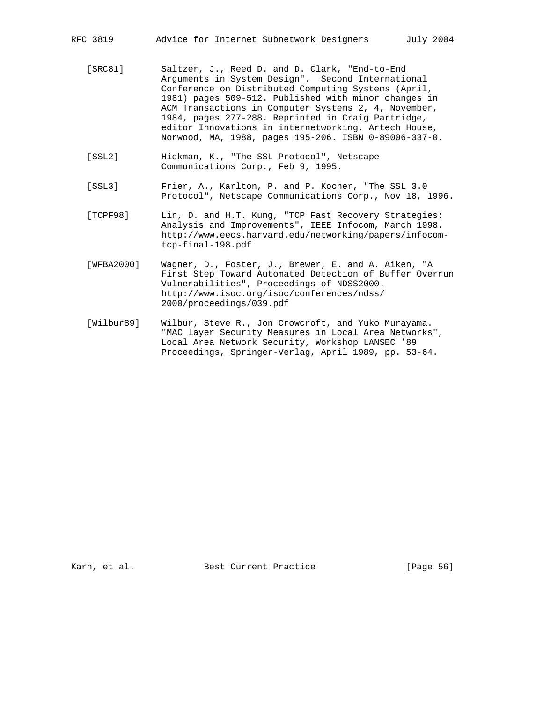- [SRC81] Saltzer, J., Reed D. and D. Clark, "End-to-End Arguments in System Design". Second International Conference on Distributed Computing Systems (April, 1981) pages 509-512. Published with minor changes in ACM Transactions in Computer Systems 2, 4, November, 1984, pages 277-288. Reprinted in Craig Partridge, editor Innovations in internetworking. Artech House, Norwood, MA, 1988, pages 195-206. ISBN 0-89006-337-0.
- [SSL2] Hickman, K., "The SSL Protocol", Netscape Communications Corp., Feb 9, 1995.
- [SSL3] Frier, A., Karlton, P. and P. Kocher, "The SSL 3.0 Protocol", Netscape Communications Corp., Nov 18, 1996.
- [TCPF98] Lin, D. and H.T. Kung, "TCP Fast Recovery Strategies: Analysis and Improvements", IEEE Infocom, March 1998. http://www.eecs.harvard.edu/networking/papers/infocom tcp-final-198.pdf
- [WFBA2000] Wagner, D., Foster, J., Brewer, E. and A. Aiken, "A First Step Toward Automated Detection of Buffer Overrun Vulnerabilities", Proceedings of NDSS2000. http://www.isoc.org/isoc/conferences/ndss/ 2000/proceedings/039.pdf
- [Wilbur89] Wilbur, Steve R., Jon Crowcroft, and Yuko Murayama. "MAC layer Security Measures in Local Area Networks", Local Area Network Security, Workshop LANSEC '89 Proceedings, Springer-Verlag, April 1989, pp. 53-64.

Karn, et al. Sest Current Practice [Page 56]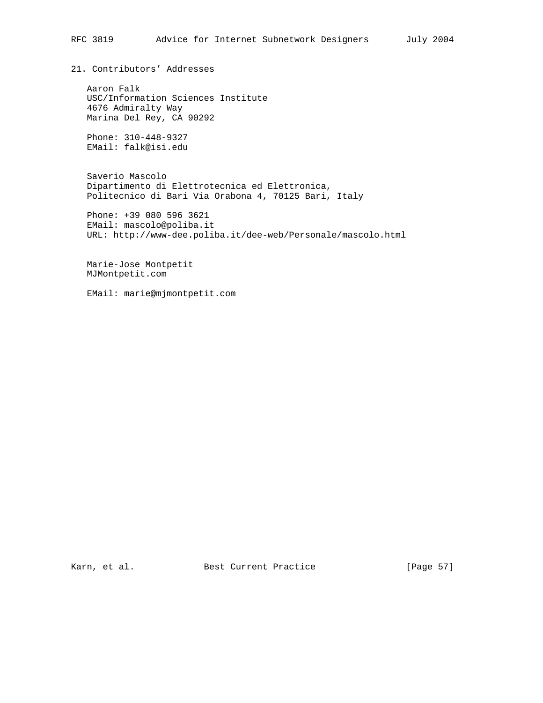21. Contributors' Addresses

 Aaron Falk USC/Information Sciences Institute 4676 Admiralty Way Marina Del Rey, CA 90292

 Phone: 310-448-9327 EMail: falk@isi.edu

 Saverio Mascolo Dipartimento di Elettrotecnica ed Elettronica, Politecnico di Bari Via Orabona 4, 70125 Bari, Italy

 Phone: +39 080 596 3621 EMail: mascolo@poliba.it URL: http://www-dee.poliba.it/dee-web/Personale/mascolo.html

 Marie-Jose Montpetit MJMontpetit.com

EMail: marie@mjmontpetit.com

Karn, et al. Sest Current Practice [Page 57]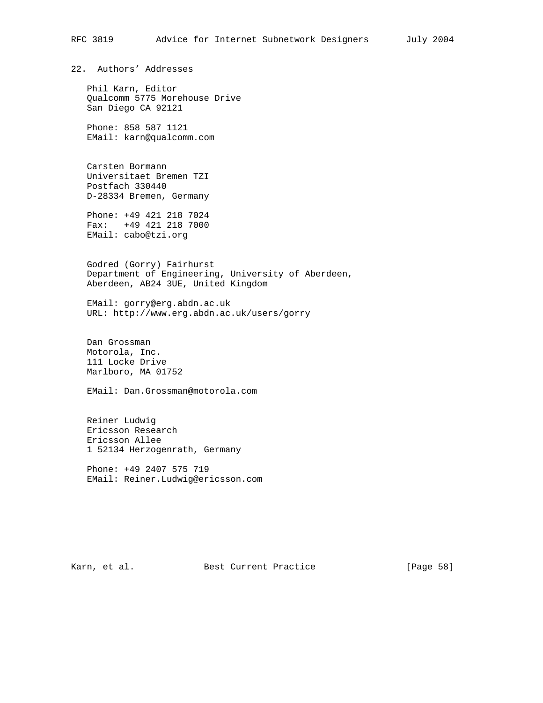22. Authors' Addresses

 Phil Karn, Editor Qualcomm 5775 Morehouse Drive San Diego CA 92121

 Phone: 858 587 1121 EMail: karn@qualcomm.com

 Carsten Bormann Universitaet Bremen TZI Postfach 330440 D-28334 Bremen, Germany

 Phone: +49 421 218 7024 Fax: +49 421 218 7000 EMail: cabo@tzi.org

 Godred (Gorry) Fairhurst Department of Engineering, University of Aberdeen, Aberdeen, AB24 3UE, United Kingdom

 EMail: gorry@erg.abdn.ac.uk URL: http://www.erg.abdn.ac.uk/users/gorry

 Dan Grossman Motorola, Inc. 111 Locke Drive Marlboro, MA 01752

EMail: Dan.Grossman@motorola.com

 Reiner Ludwig Ericsson Research Ericsson Allee 1 52134 Herzogenrath, Germany

 Phone: +49 2407 575 719 EMail: Reiner.Ludwig@ericsson.com

Karn, et al. Sest Current Practice [Page 58]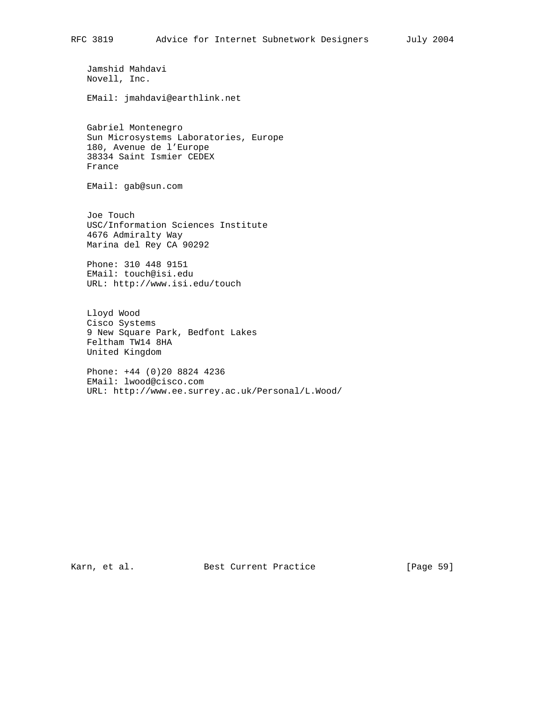Jamshid Mahdavi Novell, Inc.

EMail: jmahdavi@earthlink.net

 Gabriel Montenegro Sun Microsystems Laboratories, Europe 180, Avenue de l'Europe 38334 Saint Ismier CEDEX France

EMail: gab@sun.com

 Joe Touch USC/Information Sciences Institute 4676 Admiralty Way Marina del Rey CA 90292

 Phone: 310 448 9151 EMail: touch@isi.edu URL: http://www.isi.edu/touch

 Lloyd Wood Cisco Systems 9 New Square Park, Bedfont Lakes Feltham TW14 8HA United Kingdom

 Phone: +44 (0)20 8824 4236 EMail: lwood@cisco.com URL: http://www.ee.surrey.ac.uk/Personal/L.Wood/

Karn, et al. Sest Current Practice [Page 59]